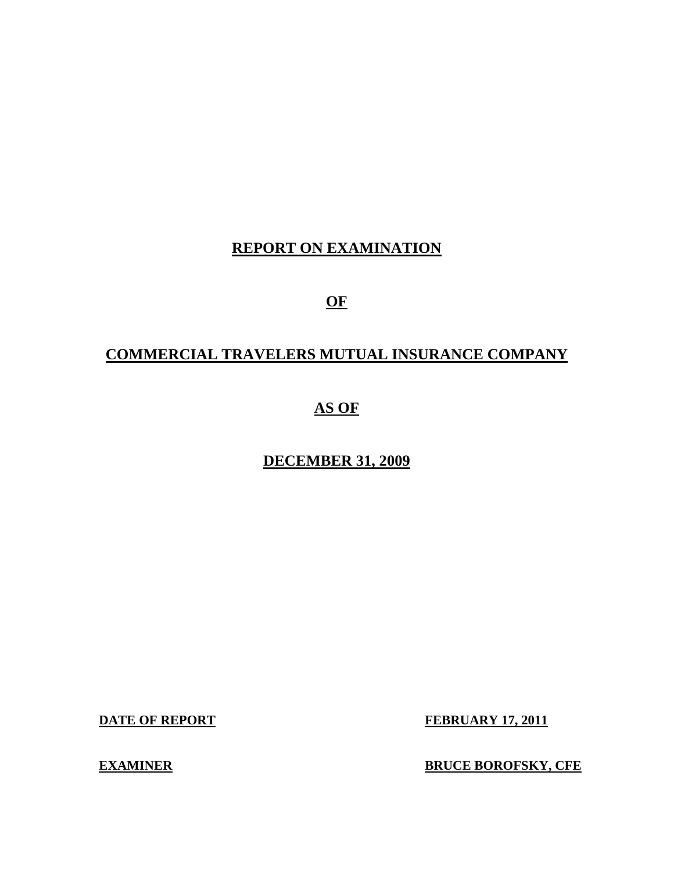# **REPORT ON EXAMINATION**

**OF** 

# **COMMERCIAL TRAVELERS MUTUAL INSURANCE COMPANY**

# **AS OF**

# **DECEMBER 31, 2009**

**DATE OF REPORT FEBRUARY 17, 2011** 

**EXAMINER BOROFSKY, CFE**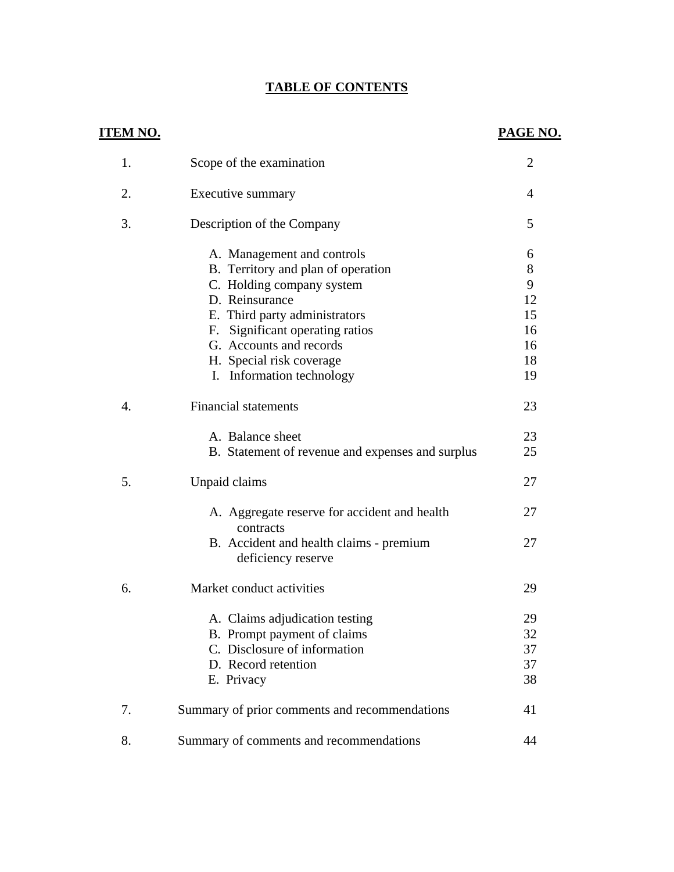# **TABLE OF CONTENTS**

| <u>ITEM NO.</u> |                                                               | PAGE NO.       |
|-----------------|---------------------------------------------------------------|----------------|
| 1.              | Scope of the examination                                      | $\overline{2}$ |
| 2.              | Executive summary                                             | 4              |
| 3.              | Description of the Company                                    | 5              |
|                 | A. Management and controls                                    | 6              |
|                 | B. Territory and plan of operation                            | 8              |
|                 | C. Holding company system                                     | 9              |
|                 | D. Reinsurance                                                | 12             |
|                 | E. Third party administrators                                 | 15             |
|                 | F. Significant operating ratios                               | 16             |
|                 | G. Accounts and records                                       | 16             |
|                 | H. Special risk coverage                                      | 18             |
|                 | I. Information technology                                     | 19             |
| 4.              | <b>Financial statements</b>                                   | 23             |
|                 | A. Balance sheet                                              | 23             |
|                 | B. Statement of revenue and expenses and surplus              | 25             |
| 5.              | Unpaid claims                                                 | 27             |
|                 | A. Aggregate reserve for accident and health<br>contracts     | 27             |
|                 | B. Accident and health claims - premium<br>deficiency reserve | 27             |
| 6.              | Market conduct activities                                     | 29             |
|                 | A. Claims adjudication testing                                | 29             |
|                 | B. Prompt payment of claims                                   | 32             |
|                 | C. Disclosure of information                                  | 37             |
|                 | D. Record retention                                           | 37             |
|                 | E. Privacy                                                    | 38             |
| 7.              | Summary of prior comments and recommendations                 | 41             |
| 8.              | Summary of comments and recommendations                       | 44             |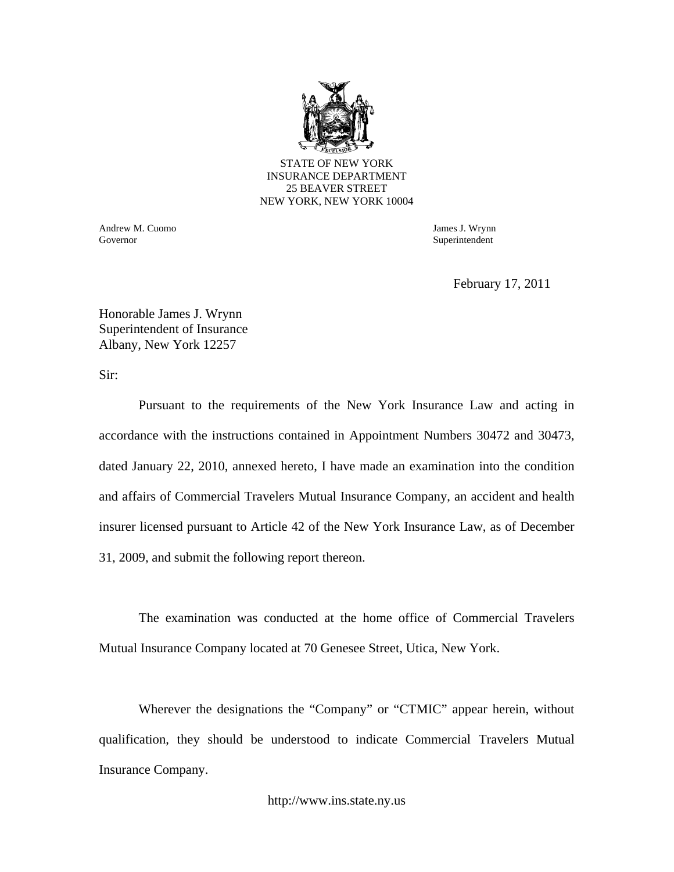

Andrew M. Cuomo James J. Wrynn Governor Superintendent Superintendent Superintendent Superintendent Superintendent Superintendent Superintendent Superintendent Superintendent Superintendent Superintendent Superintendent Superintendent Superintendent Sup

February 17, 2011

Honorable James J. Wrynn Superintendent of Insurance Albany, New York 12257

Sir:

Pursuant to the requirements of the New York Insurance Law and acting in accordance with the instructions contained in Appointment Numbers 30472 and 30473, dated January 22, 2010, annexed hereto, I have made an examination into the condition and affairs of Commercial Travelers Mutual Insurance Company, an accident and health insurer licensed pursuant to Article 42 of the New York Insurance Law, as of December 31, 2009, and submit the following report thereon.

The examination was conducted at the home office of Commercial Travelers Mutual Insurance Company located at 70 Genesee Street, Utica, New York.

Wherever the designations the "Company" or "CTMIC" appear herein, without qualification, they should be understood to indicate Commercial Travelers Mutual Insurance Company.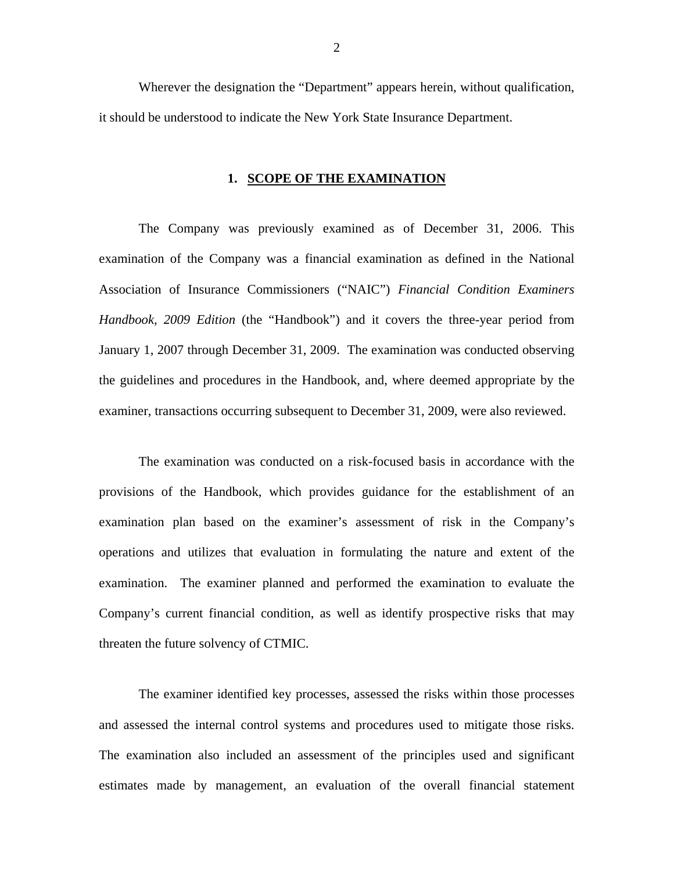Wherever the designation the "Department" appears herein, without qualification, it should be understood to indicate the New York State Insurance Department.

#### **1. SCOPE OF THE EXAMINATION**

The Company was previously examined as of December 31, 2006. This examination of the Company was a financial examination as defined in the National Association of Insurance Commissioners ("NAIC") *Financial Condition Examiners Handbook, 2009 Edition* (the "Handbook") and it covers the three-year period from January 1, 2007 through December 31, 2009. The examination was conducted observing the guidelines and procedures in the Handbook, and, where deemed appropriate by the examiner, transactions occurring subsequent to December 31, 2009, were also reviewed.

The examination was conducted on a risk-focused basis in accordance with the provisions of the Handbook, which provides guidance for the establishment of an examination plan based on the examiner's assessment of risk in the Company's operations and utilizes that evaluation in formulating the nature and extent of the examination. The examiner planned and performed the examination to evaluate the Company's current financial condition, as well as identify prospective risks that may threaten the future solvency of CTMIC.

The examiner identified key processes, assessed the risks within those processes and assessed the internal control systems and procedures used to mitigate those risks. The examination also included an assessment of the principles used and significant estimates made by management, an evaluation of the overall financial statement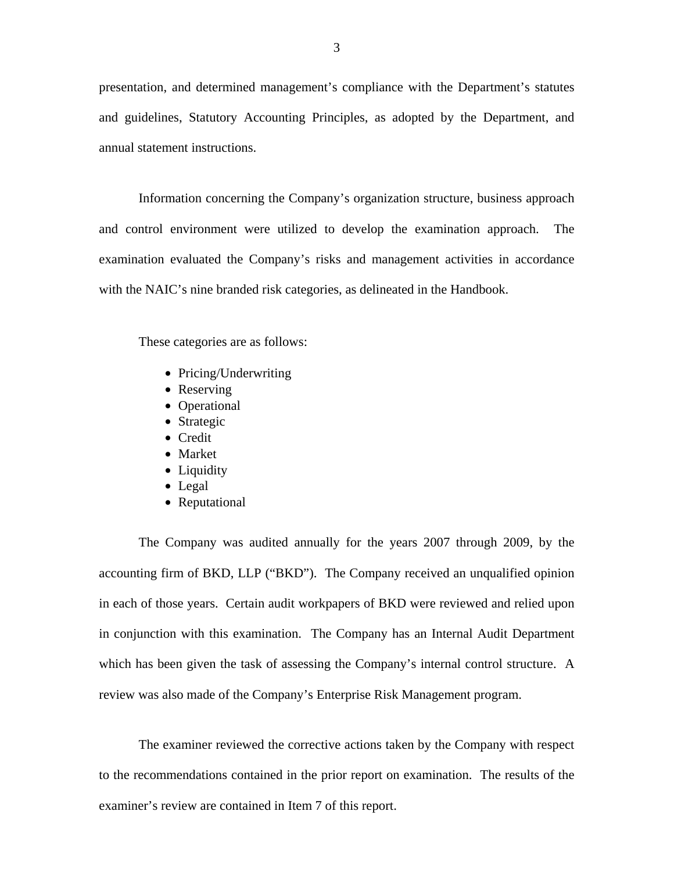presentation, and determined management's compliance with the Department's statutes and guidelines, Statutory Accounting Principles, as adopted by the Department, and annual statement instructions.

Information concerning the Company's organization structure, business approach and control environment were utilized to develop the examination approach. The examination evaluated the Company's risks and management activities in accordance with the NAIC's nine branded risk categories, as delineated in the Handbook.

These categories are as follows:

- Pricing/Underwriting
- Reserving
- Operational
- Strategic
- Credit
- Market
- Liquidity
- Legal
- Reputational

The Company was audited annually for the years 2007 through 2009, by the accounting firm of BKD, LLP ("BKD"). The Company received an unqualified opinion in each of those years. Certain audit workpapers of BKD were reviewed and relied upon in conjunction with this examination. The Company has an Internal Audit Department which has been given the task of assessing the Company's internal control structure. A review was also made of the Company's Enterprise Risk Management program.

The examiner reviewed the corrective actions taken by the Company with respect to the recommendations contained in the prior report on examination. The results of the examiner's review are contained in Item 7 of this report.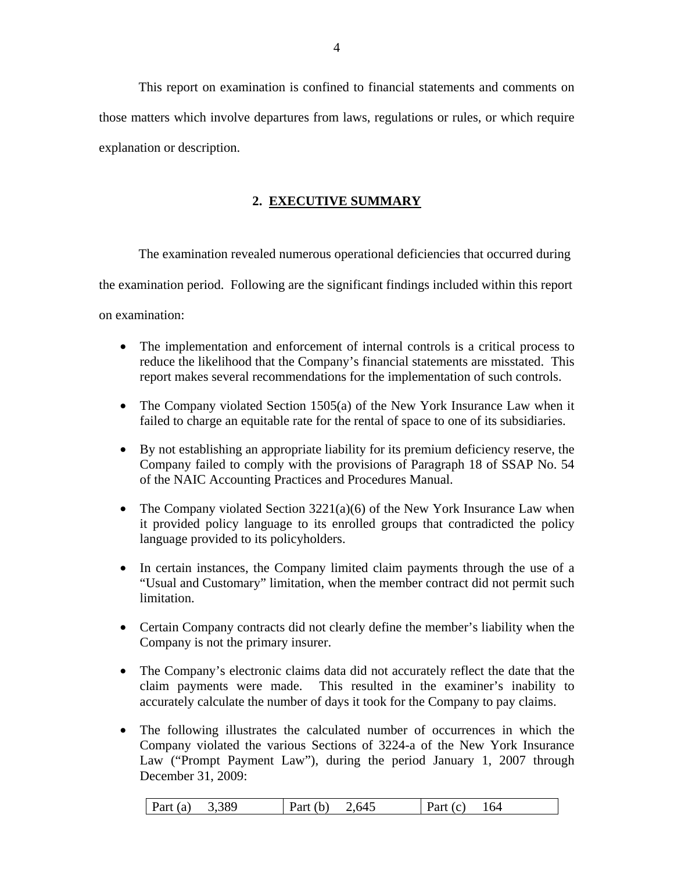This report on examination is confined to financial statements and comments on those matters which involve departures from laws, regulations or rules, or which require explanation or description.

# **2. EXECUTIVE SUMMARY**

The examination revealed numerous operational deficiencies that occurred during the examination period. Following are the significant findings included within this report on examination:

- The implementation and enforcement of internal controls is a critical process to reduce the likelihood that the Company's financial statements are misstated. This report makes several recommendations for the implementation of such controls.
- The Company violated Section 1505(a) of the New York Insurance Law when it failed to charge an equitable rate for the rental of space to one of its subsidiaries.
- By not establishing an appropriate liability for its premium deficiency reserve, the Company failed to comply with the provisions of Paragraph 18 of SSAP No. 54 of the NAIC Accounting Practices and Procedures Manual.
- The Company violated Section  $3221(a)(6)$  of the New York Insurance Law when it provided policy language to its enrolled groups that contradicted the policy language provided to its policyholders.
- In certain instances, the Company limited claim payments through the use of a "Usual and Customary" limitation, when the member contract did not permit such limitation.
- Certain Company contracts did not clearly define the member's liability when the Company is not the primary insurer.
- The Company's electronic claims data did not accurately reflect the date that the claim payments were made. This resulted in the examiner's inability to accurately calculate the number of days it took for the Company to pay claims.
- The following illustrates the calculated number of occurrences in which the Company violated the various Sections of 3224-a of the New York Insurance Law ("Prompt Payment Law"), during the period January 1, 2007 through December 31, 2009:

|  | Part $(a)$<br>3,389 | Part (<br>b) | 2,645 | ് പ്രഷ∸്<br>$\cdot$ (C) | 164 |
|--|---------------------|--------------|-------|-------------------------|-----|
|--|---------------------|--------------|-------|-------------------------|-----|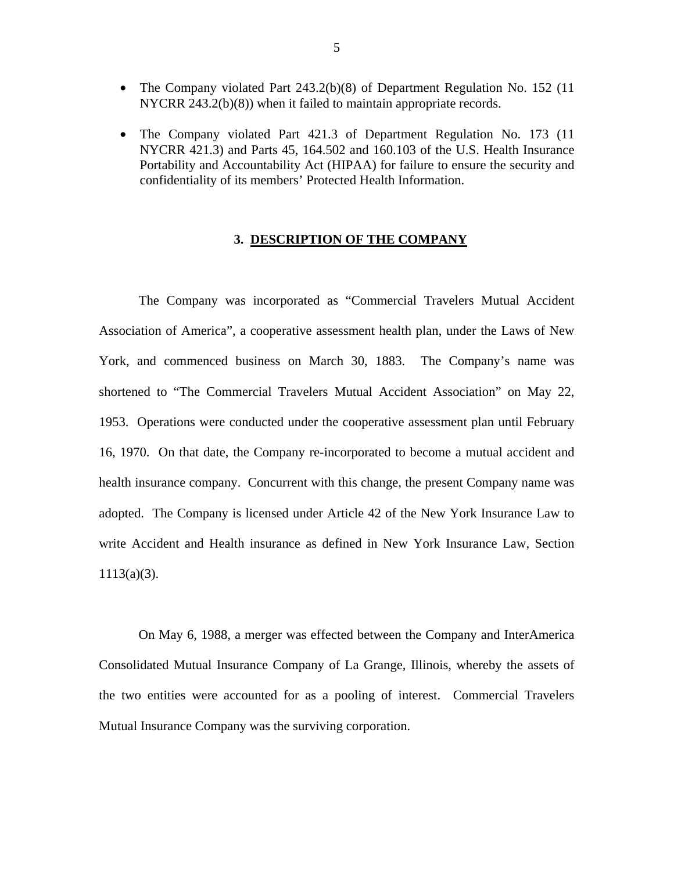- <span id="page-6-0"></span>• The Company violated Part 243.2(b)(8) of Department Regulation No. 152 (11) NYCRR 243.2(b)(8)) when it failed to maintain appropriate records.
- The Company violated Part 421.3 of Department Regulation No. 173 (11) NYCRR 421.3) and Parts 45, 164.502 and 160.103 of the U.S. Health Insurance Portability and Accountability Act (HIPAA) for failure to ensure the security and confidentiality of its members' Protected Health Information.

#### **3. DESCRIPTION OF THE COMPANY**

The Company was incorporated as "Commercial Travelers Mutual Accident Association of America", a cooperative assessment health plan, under the Laws of New York, and commenced business on March 30, 1883. The Company's name was shortened to "The Commercial Travelers Mutual Accident Association" on May 22, 1953. Operations were conducted under the cooperative assessment plan until February 16, 1970. On that date, the Company re-incorporated to become a mutual accident and health insurance company. Concurrent with this change, the present Company name was adopted. The Company is licensed under Article 42 of the New York Insurance Law to write Accident and Health insurance as defined in New York Insurance Law, Section  $1113(a)(3)$ .

On May 6, 1988, a merger was effected between the Company and InterAmerica Consolidated Mutual Insurance Company of La Grange, Illinois, whereby the assets of the two entities were accounted for as a pooling of interest. Commercial Travelers Mutual Insurance Company was the surviving corporation.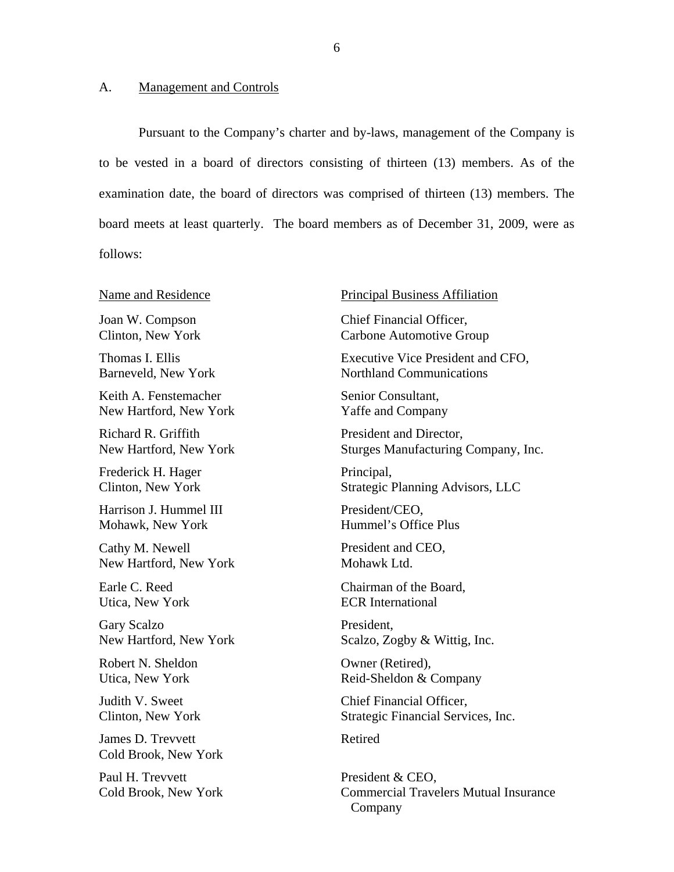#### <span id="page-7-0"></span>A. Management and Controls

Pursuant to the Company's charter and by-laws, management of the Company is to be vested in a board of directors consisting of thirteen (13) members. As of the examination date, the board of directors was comprised of thirteen (13) members. The board meets at least quarterly. The board members as of December 31, 2009, were as follows:

#### Name and Residence

Joan W. Compson Clinton, New York

Thomas I. Ellis Barneveld, New York

Keith A. Fenstemacher New Hartford, New York

Richard R. Griffith New Hartford, New York

Frederick H. Hager Clinton, New York

Harrison J. Hummel III Mohawk, New York

Cathy M. Newell New Hartford, New York

Earle C. Reed Utica, New York

Gary Scalzo New Hartford, New York

Robert N. Sheldon Utica, New York

Judith V. Sweet Clinton, New York

James D. Trevvett Cold Brook, New York

Paul H. Trevvett Cold Brook, New York

#### Principal Business Affiliation

Chief Financial Officer, Carbone Automotive Group

Executive Vice President and CFO, Northland Communications

Senior Consultant, Yaffe and Company

President and Director, Sturges Manufacturing Company, Inc.

Principal, Strategic Planning Advisors, LLC

President/CEO, Hummel's Office Plus

President and CEO, Mohawk Ltd.

Chairman of the Board, ECR International

President, Scalzo, Zogby & Wittig, Inc.

Owner (Retired), Reid-Sheldon & Company

Chief Financial Officer, Strategic Financial Services, Inc.

Retired

President & CEO, Commercial Travelers Mutual Insurance Company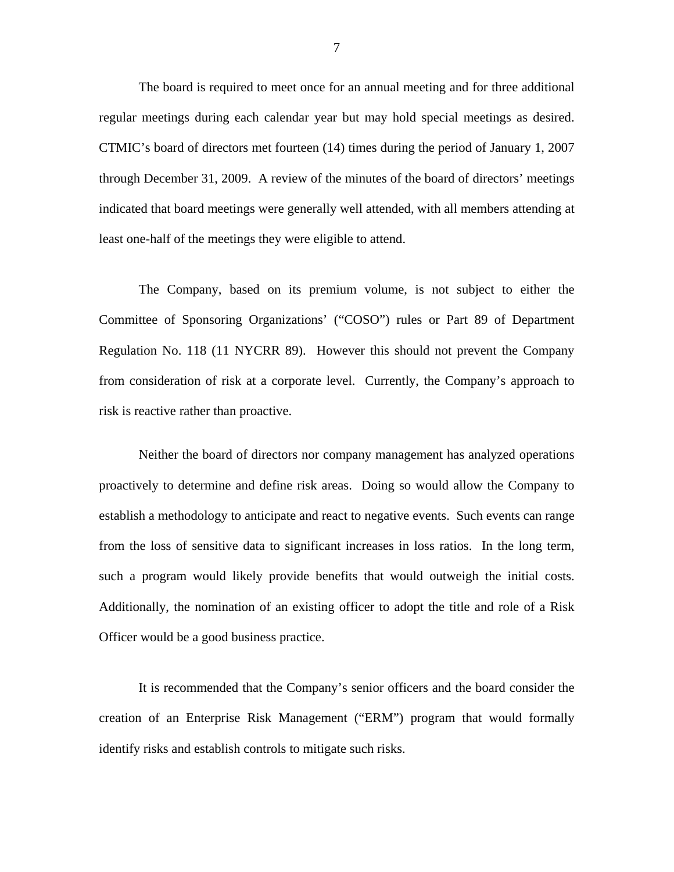regular meetings during each calendar year but may hold special meetings as desired. CTMIC's board of directors met fourteen (14) times during the period of January 1, 2007 The board is required to meet once for an annual meeting and for three additional through December 31, 2009. A review of the minutes of the board of directors' meetings indicated that board meetings were generally well attended, with all members attending at least one-half of the meetings they were eligible to attend.

The Company, based on its premium volume, is not subject to either the Committee of Sponsoring Organizations' ("COSO") rules or Part 89 of Department Regulation No. 118 (11 NYCRR 89). However this should not prevent the Company from consideration of risk at a corporate level. Currently, the Company's approach to risk is reactive rather than proactive.

 such a program would likely provide benefits that would outweigh the initial costs. Additionally, the nomination of an existing officer to adopt the title and role of a Risk Neither the board of directors nor company management has analyzed operations proactively to determine and define risk areas. Doing so would allow the Company to establish a methodology to anticipate and react to negative events. Such events can range from the loss of sensitive data to significant increases in loss ratios. In the long term, Officer would be a good business practice.

It is recommended that the Company's senior officers and the board consider the creation of an Enterprise Risk Management ("ERM") program that would formally identify risks and establish controls to mitigate such risks.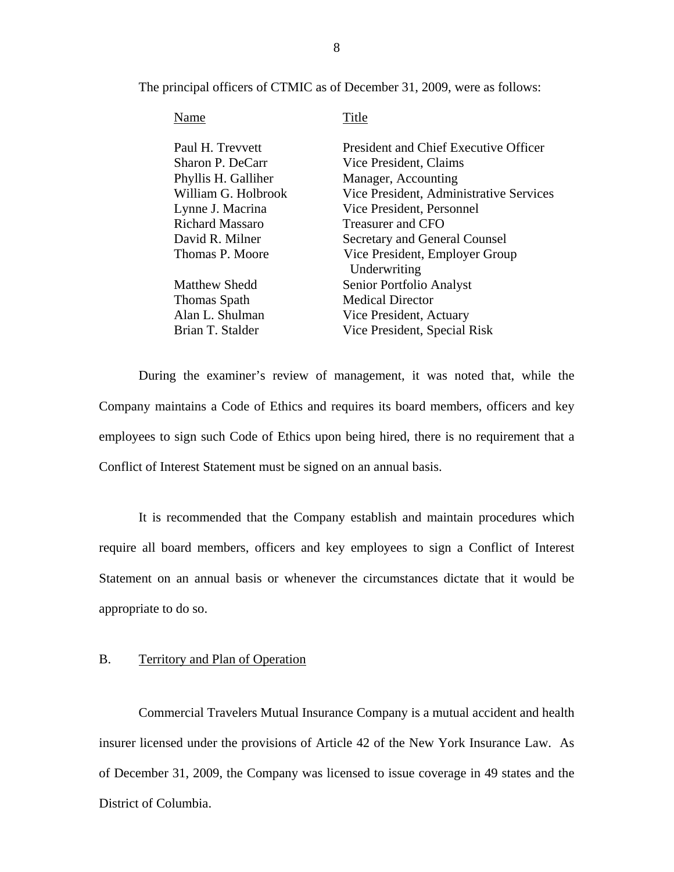<span id="page-9-0"></span>The principal officers of CTMIC as of December 31, 2009, were as follows:

| Name                   | Title                                   |
|------------------------|-----------------------------------------|
| Paul H. Trevvett       | President and Chief Executive Officer   |
| Sharon P. DeCarr       | Vice President, Claims                  |
| Phyllis H. Galliher    | Manager, Accounting                     |
| William G. Holbrook    | Vice President, Administrative Services |
| Lynne J. Macrina       | Vice President, Personnel               |
| <b>Richard Massaro</b> | Treasurer and CFO                       |
| David R. Milner        | Secretary and General Counsel           |
| Thomas P. Moore        | Vice President, Employer Group          |
|                        | Underwriting                            |
| <b>Matthew Shedd</b>   | Senior Portfolio Analyst                |
| Thomas Spath           | <b>Medical Director</b>                 |
| Alan L. Shulman        | Vice President, Actuary                 |
| Brian T. Stalder       | Vice President, Special Risk            |

During the examiner's review of management, it was noted that, while the Company maintains a Code of Ethics and requires its board members, officers and key employees to sign such Code of Ethics upon being hired, there is no requirement that a Conflict of Interest Statement must be signed on an annual basis.

It is recommended that the Company establish and maintain procedures which require all board members, officers and key employees to sign a Conflict of Interest Statement on an annual basis or whenever the circumstances dictate that it would be appropriate to do so.

#### B. Territory and Plan of Operation

Commercial Travelers Mutual Insurance Company is a mutual accident and health insurer licensed under the provisions of Article 42 of the New York Insurance Law. As of December 31, 2009, the Company was licensed to issue coverage in 49 states and the District of Columbia.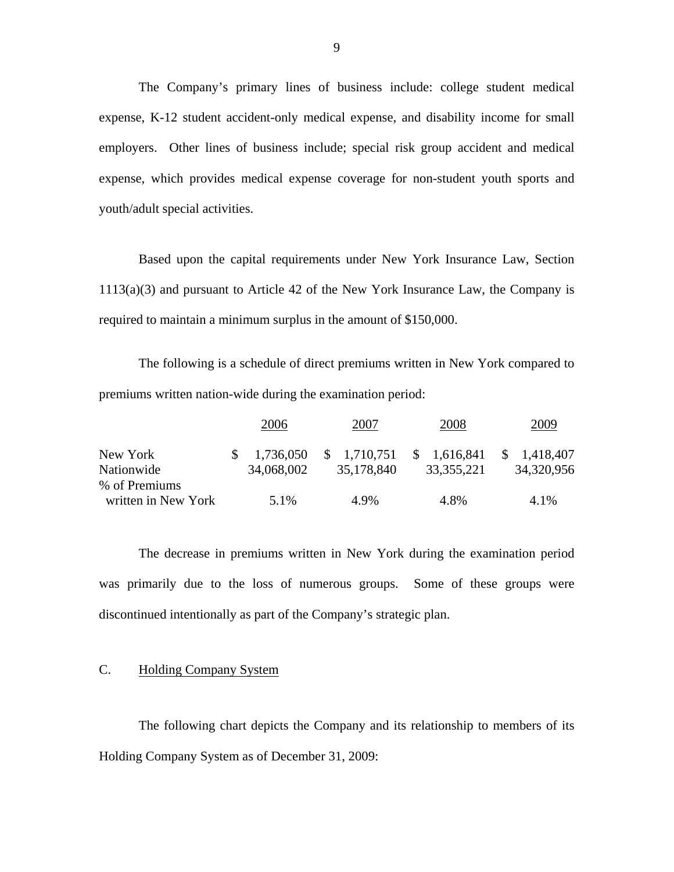The Company's primary lines of business include: college student medical expense, K-12 student accident-only medical expense, and disability income for small employers. Other lines of business include; special risk group accident and medical expense, which provides medical expense coverage for non-student youth sports and youth/adult special activities.

Based upon the capital requirements under New York Insurance Law, Section 1113(a)(3) and pursuant to Article 42 of the New York Insurance Law, the Company is required to maintain a minimum surplus in the amount of \$150,000.

The following is a schedule of direct premiums written in New York compared to premiums written nation-wide during the examination period:

|                     | 2006                   | 2007        | 2008         | 2009        |
|---------------------|------------------------|-------------|--------------|-------------|
| New York            | $\frac{\$}{1,736,050}$ | \$1,710,751 | \$1,616,841  | \$1,418,407 |
| Nationwide          | 34,068,002             | 35,178,840  | 33, 355, 221 | 34,320,956  |
| % of Premiums       |                        |             |              |             |
| written in New York | 5.1%                   | 4.9%        | 4.8%         | 4.1%        |

The decrease in premiums written in New York during the examination period was primarily due to the loss of numerous groups. Some of these groups were discontinued intentionally as part of the Company's strategic plan.

# C. Holding Company System

The following chart depicts the Company and its relationship to members of its Holding Company System as of December 31, 2009: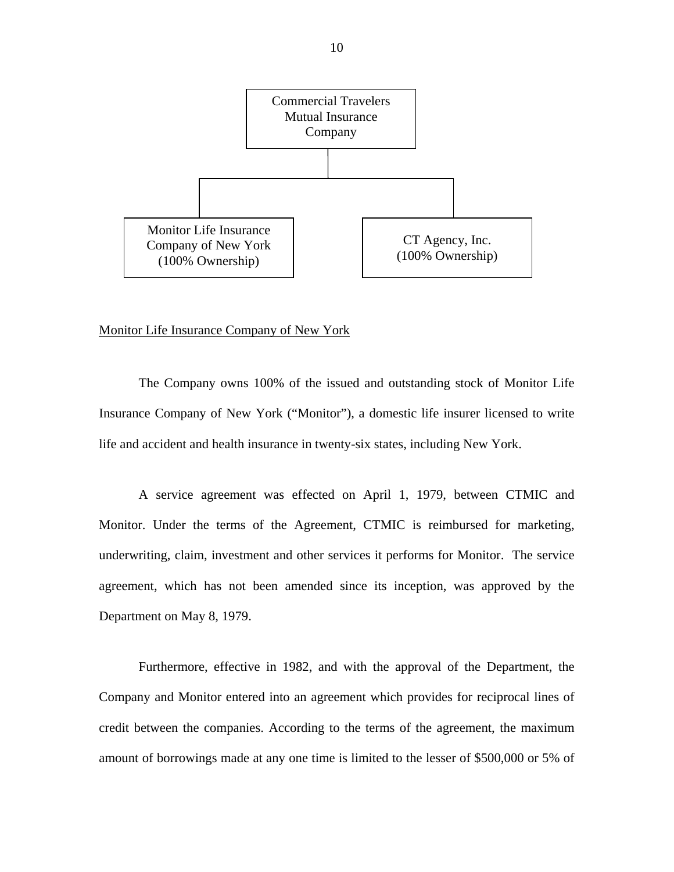

#### Monitor Life Insurance Company of New York

The Company owns 100% of the issued and outstanding stock of Monitor Life Insurance Company of New York ("Monitor"), a domestic life insurer licensed to write life and accident and health insurance in twenty-six states, including New York.

A service agreement was effected on April 1, 1979, between CTMIC and Monitor. Under the terms of the Agreement, CTMIC is reimbursed for marketing, underwriting, claim, investment and other services it performs for Monitor. The service agreement, which has not been amended since its inception, was approved by the Department on May 8, 1979.

Furthermore, effective in 1982, and with the approval of the Department, the Company and Monitor entered into an agreement which provides for reciprocal lines of credit between the companies. According to the terms of the agreement, the maximum amount of borrowings made at any one time is limited to the lesser of \$500,000 or 5% of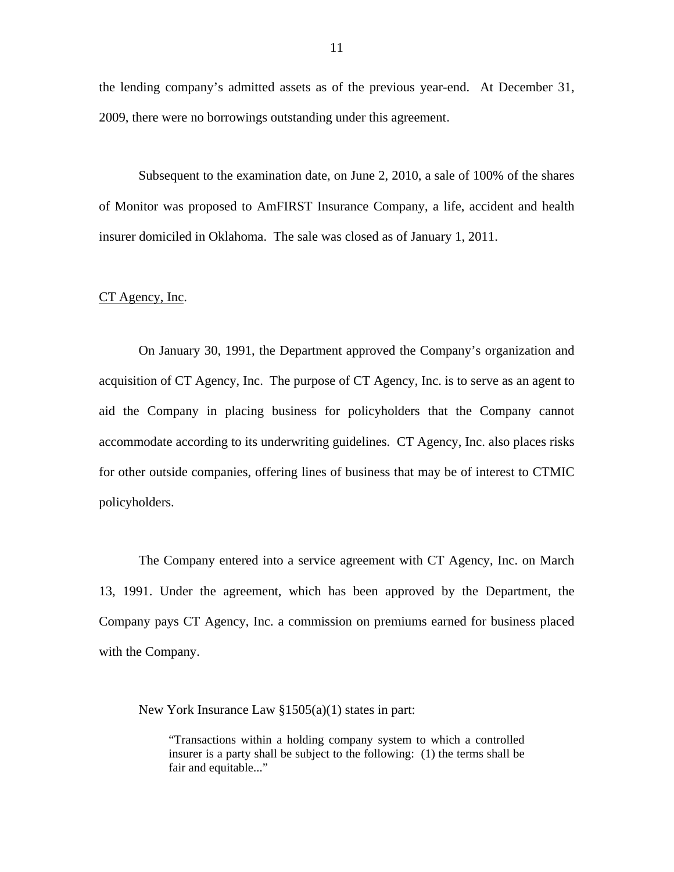the lending company's admitted assets as of the previous year-end. At December 31, 2009, there were no borrowings outstanding under this agreement.

Subsequent to the examination date, on June 2, 2010, a sale of 100% of the shares of Monitor was proposed to AmFIRST Insurance Company, a life, accident and health insurer domiciled in Oklahoma. The sale was closed as of January 1, 2011.

#### CT Agency, Inc.

On January 30, 1991, the Department approved the Company's organization and acquisition of CT Agency, Inc. The purpose of CT Agency, Inc. is to serve as an agent to aid the Company in placing business for policyholders that the Company cannot accommodate according to its underwriting guidelines. CT Agency, Inc. also places risks for other outside companies, offering lines of business that may be of interest to CTMIC policyholders.

The Company entered into a service agreement with CT Agency, Inc. on March 13, 1991. Under the agreement, which has been approved by the Department, the Company pays CT Agency, Inc. a commission on premiums earned for business placed with the Company.

New York Insurance Law §1505(a)(1) states in part:

"Transactions within a holding company system to which a controlled insurer is a party shall be subject to the following: (1) the terms shall be fair and equitable..."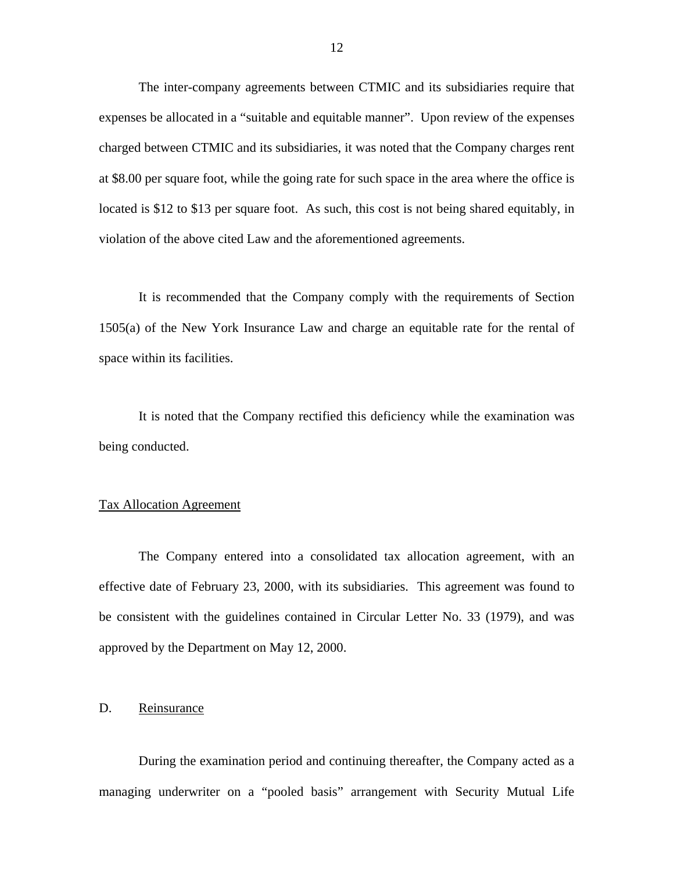<span id="page-13-0"></span>The inter-company agreements between CTMIC and its subsidiaries require that expenses be allocated in a "suitable and equitable manner". Upon review of the expenses charged between CTMIC and its subsidiaries, it was noted that the Company charges rent at \$8.00 per square foot, while the going rate for such space in the area where the office is located is \$12 to \$13 per square foot. As such, this cost is not being shared equitably, in violation of the above cited Law and the aforementioned agreements.

space within its facilities. It is recommended that the Company comply with the requirements of Section 1505(a) of the New York Insurance Law and charge an equitable rate for the rental of

It is noted that the Company rectified this deficiency while the examination was being conducted.

#### Tax Allocation Agreement

The Company entered into a consolidated tax allocation agreement, with an effective date of February 23, 2000, with its subsidiaries. This agreement was found to be consistent with the guidelines contained in Circular Letter No. 33 (1979), and was approved by the Department on May 12, 2000.

# D. Reinsurance

During the examination period and continuing thereafter, the Company acted as a managing underwriter on a "pooled basis" arrangement with Security Mutual Life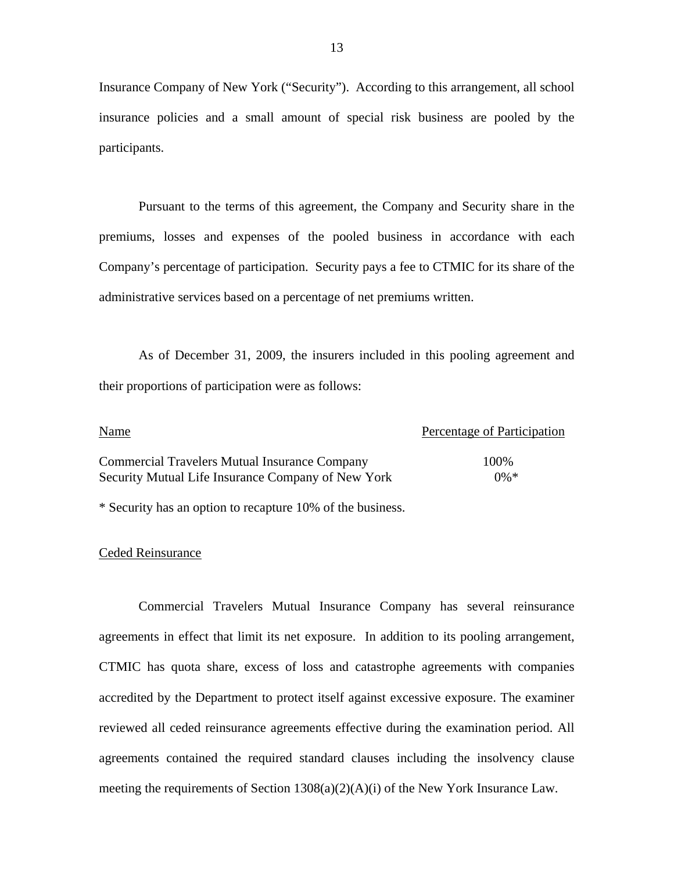Insurance Company of New York ("Security"). According to this arrangement, all school insurance policies and a small amount of special risk business are pooled by the participants.

Pursuant to the terms of this agreement, the Company and Security share in the premiums, losses and expenses of the pooled business in accordance with each Company's percentage of participation. Security pays a fee to CTMIC for its share of the administrative services based on a percentage of net premiums written.

As of December 31, 2009, the insurers included in this pooling agreement and their proportions of participation were as follows:

| Name                                                 | Percentage of Participation |
|------------------------------------------------------|-----------------------------|
| <b>Commercial Travelers Mutual Insurance Company</b> | 100%                        |
| Security Mutual Life Insurance Company of New York   | $0\% *$                     |

\* Security has an option to recapture 10% of the business.

#### Ceded Reinsurance

Commercial Travelers Mutual Insurance Company has several reinsurance agreements in effect that limit its net exposure. In addition to its pooling arrangement, CTMIC has quota share, excess of loss and catastrophe agreements with companies accredited by the Department to protect itself against excessive exposure. The examiner reviewed all ceded reinsurance agreements effective during the examination period. All agreements contained the required standard clauses including the insolvency clause meeting the requirements of Section 1308(a)(2)(A)(i) of the New York Insurance Law.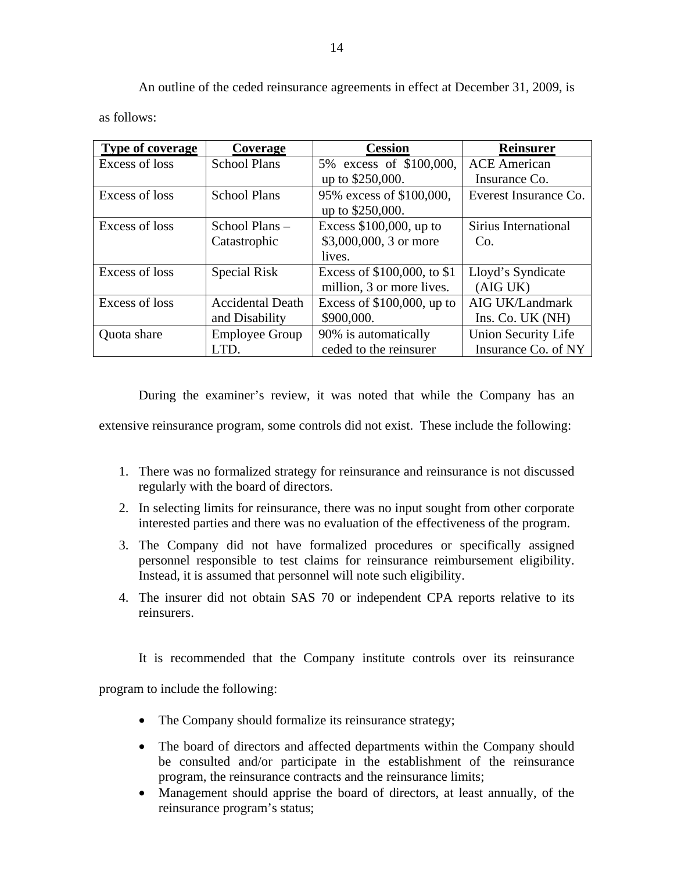An outline of the ceded reinsurance agreements in effect at December 31, 2009, is

as follows:

| <b>Type of coverage</b> | Coverage                | <b>Cession</b>               | <b>Reinsurer</b>      |
|-------------------------|-------------------------|------------------------------|-----------------------|
| Excess of loss          | <b>School Plans</b>     | 5% excess of \$100,000,      | <b>ACE</b> American   |
|                         |                         | up to \$250,000.             | Insurance Co.         |
| Excess of loss          | <b>School Plans</b>     | 95% excess of \$100,000,     | Everest Insurance Co. |
|                         |                         | up to \$250,000.             |                       |
| Excess of loss          | School Plans –          | Excess $$100,000$ , up to    | Sirius International  |
|                         | Catastrophic            | \$3,000,000, 3 or more       | Co.                   |
|                         |                         | lives.                       |                       |
| Excess of loss          | Special Risk            | Excess of \$100,000, to \$1  | Lloyd's Syndicate     |
|                         |                         | million, 3 or more lives.    | (AIG UK)              |
| Excess of loss          | <b>Accidental Death</b> | Excess of $$100,000$ , up to | AIG UK/Landmark       |
|                         | and Disability          | \$900,000.                   | Ins. Co. UK (NH)      |
| Quota share             | <b>Employee Group</b>   | 90% is automatically         | Union Security Life   |
|                         | LTD.                    | ceded to the reinsurer       | Insurance Co. of NY   |

During the examiner's review, it was noted that while the Company has an

extensive reinsurance program, some controls did not exist. These include the following:

- 1. There was no formalized strategy for reinsurance and reinsurance is not discussed regularly with the board of directors.
- 2. In selecting limits for reinsurance, there was no input sought from other corporate interested parties and there was no evaluation of the effectiveness of the program.
- Instead, it is assumed that personnel will note such eligibility. 3. The Company did not have formalized procedures or specifically assigned personnel responsible to test claims for reinsurance reimbursement eligibility.
- 4. The insurer did not obtain SAS 70 or independent CPA reports relative to its reinsurers.

It is recommended that the Company institute controls over its reinsurance

program to include the following:

- The Company should formalize its reinsurance strategy;
- The board of directors and affected departments within the Company should be consulted and/or participate in the establishment of the reinsurance program, the reinsurance contracts and the reinsurance limits;
- Management should apprise the board of directors, at least annually, of the reinsurance program's status;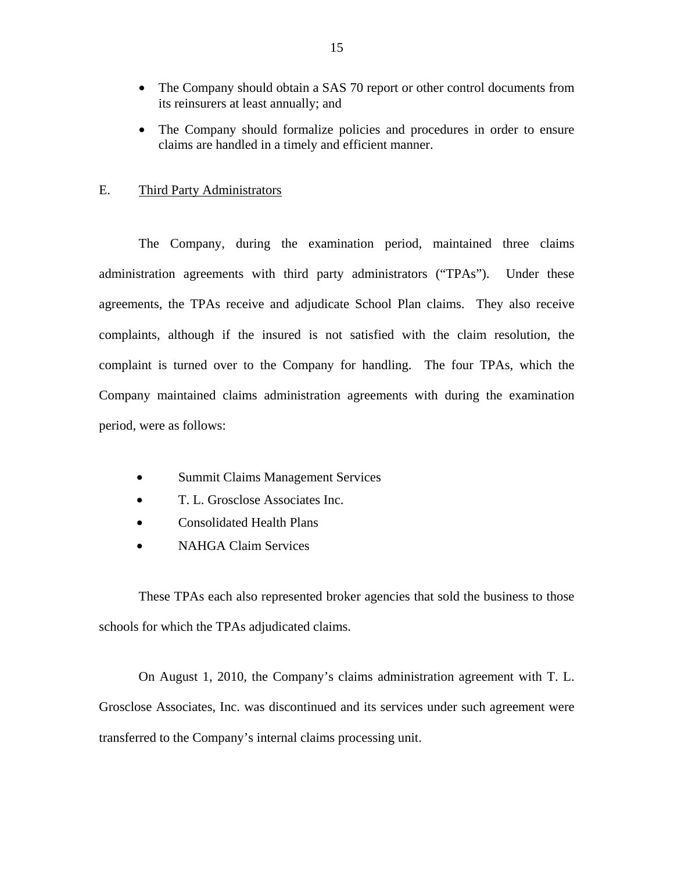- <span id="page-16-0"></span>• The Company should obtain a SAS 70 report or other control documents from its reinsurers at least annually; and
- The Company should formalize policies and procedures in order to ensure claims are handled in a timely and efficient manner.

## E. Third Party Administrators

The Company, during the examination period, maintained three claims administration agreements with third party administrators ("TPAs"). Under these agreements, the TPAs receive and adjudicate School Plan claims. They also receive complaints, although if the insured is not satisfied with the claim resolution, the complaint is turned over to the Company for handling. The four TPAs, which the Company maintained claims administration agreements with during the examination period, were as follows:

- Summit Claims Management Services
- T. L. Grosclose Associates Inc.
- Consolidated Health Plans
- NAHGA Claim Services

These TPAs each also represented broker agencies that sold the business to those schools for which the TPAs adjudicated claims.

On August 1, 2010, the Company's claims administration agreement with T. L. Grosclose Associates, Inc. was discontinued and its services under such agreement were transferred to the Company's internal claims processing unit.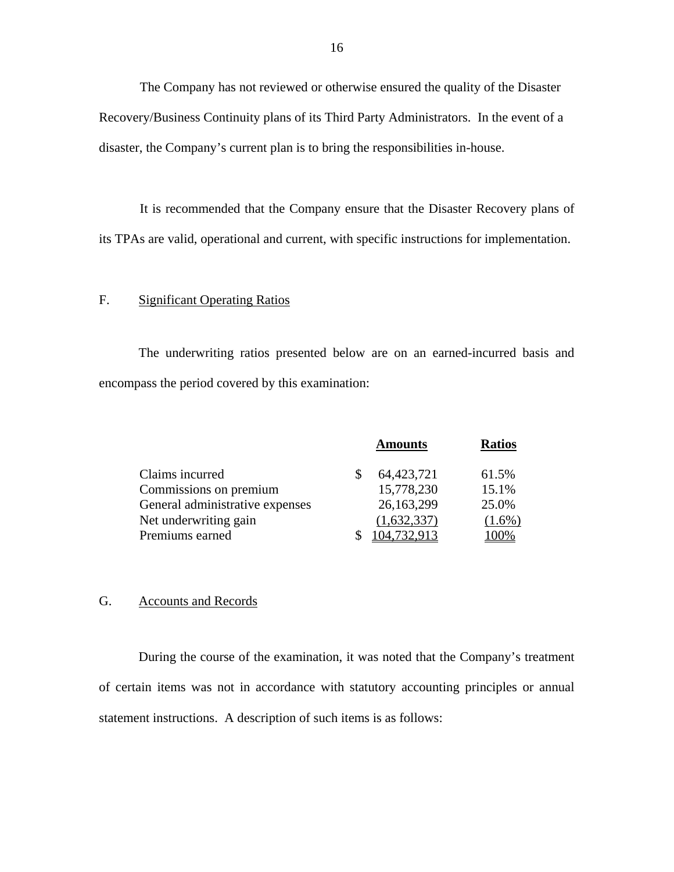The Company has not reviewed or otherwise ensured the quality of the Disaster Recovery/Business Continuity plans of its Third Party Administrators. In the event of a disaster, the Company's current plan is to bring the responsibilities in-house.

It is recommended that the Company ensure that the Disaster Recovery plans of its TPAs are valid, operational and current, with specific instructions for implementation.

# F. Significant Operating Ratios

The underwriting ratios presented below are on an earned-incurred basis and encompass the period covered by this examination:

|                                 | <b>Amounts</b> | <b>Ratios</b> |
|---------------------------------|----------------|---------------|
| Claims incurred                 | 64,423,721     | 61.5%         |
| Commissions on premium          | 15,778,230     | 15.1%         |
| General administrative expenses | 26,163,299     | 25.0%         |
| Net underwriting gain           | (1,632,337)    | $(1.6\%)$     |
| Premiums earned                 | 104,732,913    | 100%          |

## G. Accounts and Records

During the course of the examination, it was noted that the Company's treatment of certain items was not in accordance with statutory accounting principles or annual statement instructions. A description of such items is as follows: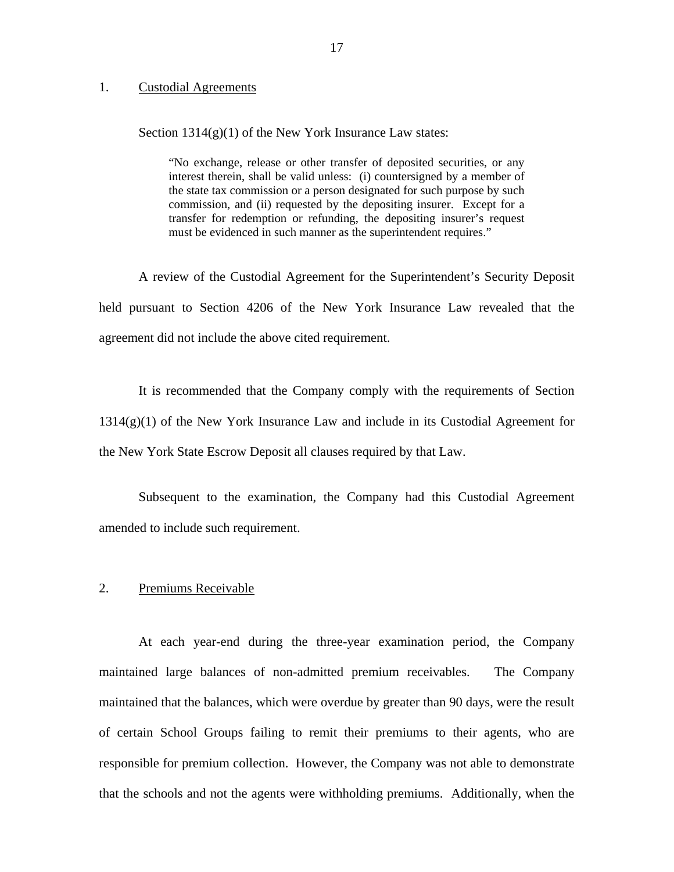#### 1. Custodial Agreements

Section  $1314(g)(1)$  of the New York Insurance Law states:

"No exchange, release or other transfer of deposited securities, or any interest therein, shall be valid unless: (i) countersigned by a member of the state tax commission or a person designated for such purpose by such commission, and (ii) requested by the depositing insurer. Except for a transfer for redemption or refunding, the depositing insurer's request must be evidenced in such manner as the superintendent requires."

A review of the Custodial Agreement for the Superintendent's Security Deposit held pursuant to Section 4206 of the New York Insurance Law revealed that the agreement did not include the above cited requirement.

It is recommended that the Company comply with the requirements of Section 1314(g)(1) of the New York Insurance Law and include in its Custodial Agreement for the New York State Escrow Deposit all clauses required by that Law.

Subsequent to the examination, the Company had this Custodial Agreement amended to include such requirement.

#### 2. Premiums Receivable

At each year-end during the three-year examination period, the Company maintained large balances of non-admitted premium receivables. The Company maintained that the balances, which were overdue by greater than 90 days, were the result of certain School Groups failing to remit their premiums to their agents, who are responsible for premium collection. However, the Company was not able to demonstrate that the schools and not the agents were withholding premiums. Additionally, when the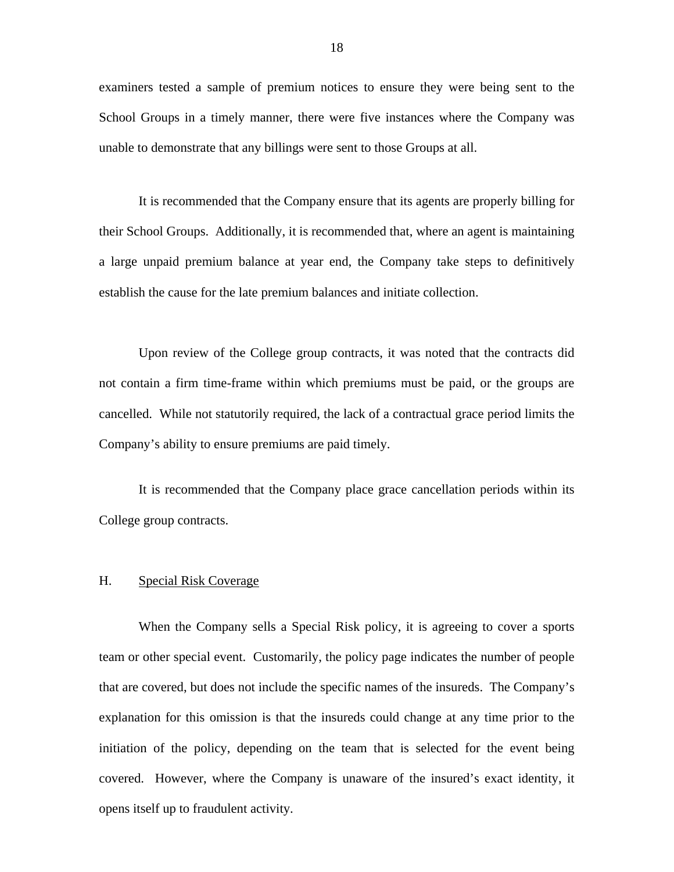<span id="page-19-0"></span>examiners tested a sample of premium notices to ensure they were being sent to the School Groups in a timely manner, there were five instances where the Company was unable to demonstrate that any billings were sent to those Groups at all.

It is recommended that the Company ensure that its agents are properly billing for their School Groups. Additionally, it is recommended that, where an agent is maintaining a large unpaid premium balance at year end, the Company take steps to definitively establish the cause for the late premium balances and initiate collection.

Upon review of the College group contracts, it was noted that the contracts did not contain a firm time-frame within which premiums must be paid, or the groups are cancelled. While not statutorily required, the lack of a contractual grace period limits the Company's ability to ensure premiums are paid timely.

It is recommended that the Company place grace cancellation periods within its College group contracts.

## H. Special Risk Coverage

When the Company sells a Special Risk policy, it is agreeing to cover a sports team or other special event. Customarily, the policy page indicates the number of people that are covered, but does not include the specific names of the insureds. The Company's explanation for this omission is that the insureds could change at any time prior to the initiation of the policy, depending on the team that is selected for the event being covered. However, where the Company is unaware of the insured's exact identity, it opens itself up to fraudulent activity.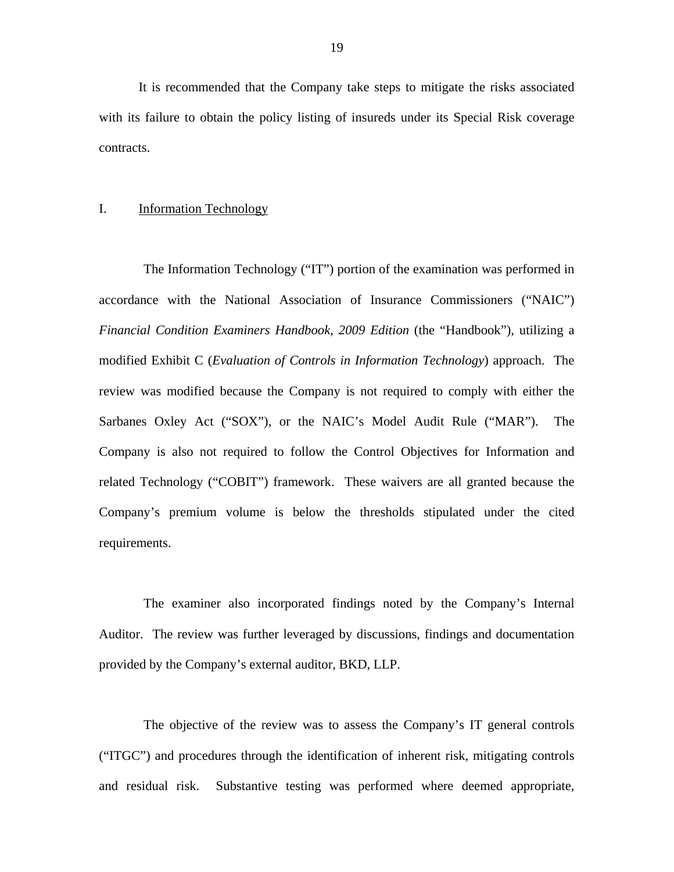<span id="page-20-0"></span>It is recommended that the Company take steps to mitigate the risks associated with its failure to obtain the policy listing of insureds under its Special Risk coverage contracts.

#### I. Information Technology

The Information Technology ("IT") portion of the examination was performed in accordance with the National Association of Insurance Commissioners ("NAIC") *Financial Condition Examiners Handbook, 2009 Edition* (the "Handbook"), utilizing a modified Exhibit C (*Evaluation of Controls in Information Technology*) approach. The review was modified because the Company is not required to comply with either the Sarbanes Oxley Act ("SOX"), or the NAIC's Model Audit Rule ("MAR"). The Company is also not required to follow the Control Objectives for Information and related Technology ("COBIT") framework. These waivers are all granted because the Company's premium volume is below the thresholds stipulated under the cited requirements.

The examiner also incorporated findings noted by the Company's Internal Auditor. The review was further leveraged by discussions, findings and documentation provided by the Company's external auditor, BKD, LLP.

The objective of the review was to assess the Company's IT general controls ("ITGC") and procedures through the identification of inherent risk, mitigating controls and residual risk. Substantive testing was performed where deemed appropriate,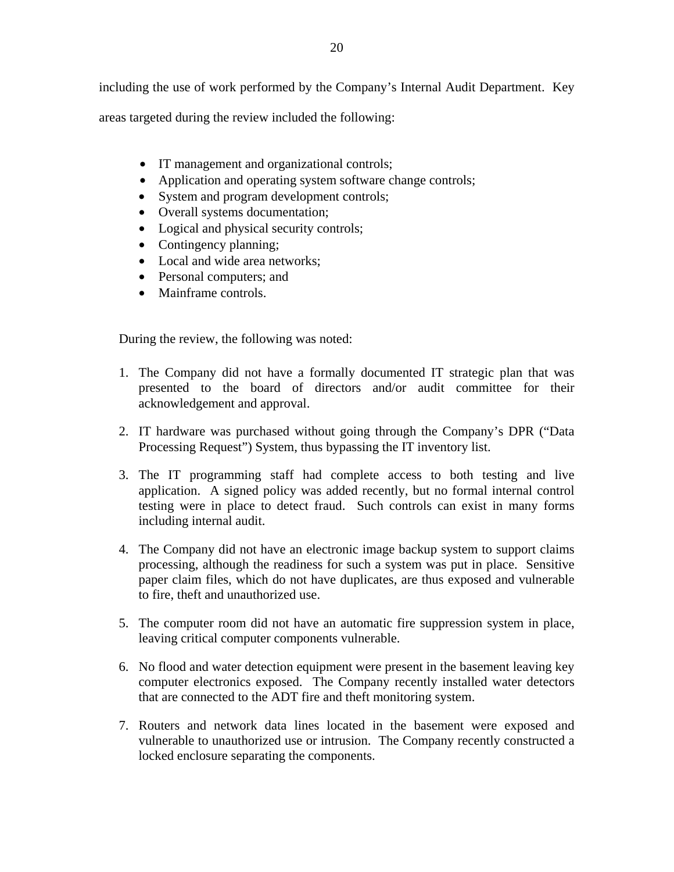areas targeted during the review included the following:

- IT management and organizational controls;
- Application and operating system software change controls;
- System and program development controls;
- Overall systems documentation;
- Logical and physical security controls;
- Contingency planning;
- Local and wide area networks;
- Personal computers; and
- Mainframe controls.

During the review, the following was noted:

- 1. The Company did not have a formally documented IT strategic plan that was presented to the board of directors and/or audit committee for their acknowledgement and approval.
- 2. IT hardware was purchased without going through the Company's DPR ("Data Processing Request") System, thus bypassing the IT inventory list.
- 3. The IT programming staff had complete access to both testing and live application. A signed policy was added recently, but no formal internal control testing were in place to detect fraud. Such controls can exist in many forms including internal audit.
- 4. The Company did not have an electronic image backup system to support claims processing, although the readiness for such a system was put in place. Sensitive paper claim files, which do not have duplicates, are thus exposed and vulnerable to fire, theft and unauthorized use.
- 5. The computer room did not have an automatic fire suppression system in place, leaving critical computer components vulnerable.
- 6. No flood and water detection equipment were present in the basement leaving key computer electronics exposed. The Company recently installed water detectors that are connected to the ADT fire and theft monitoring system.
- 7. Routers and network data lines located in the basement were exposed and vulnerable to unauthorized use or intrusion. The Company recently constructed a locked enclosure separating the components.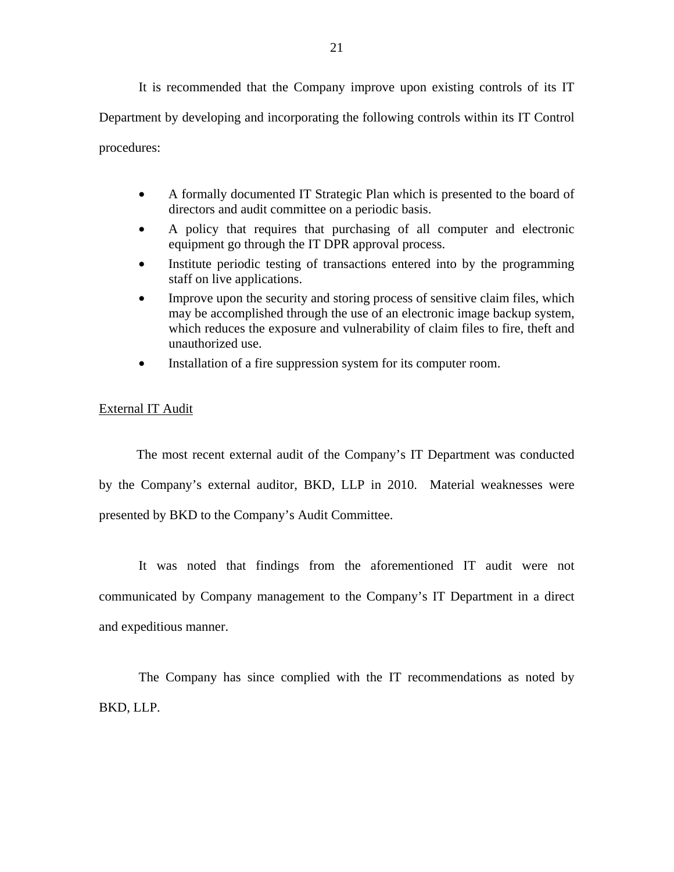It is recommended that the Company improve upon existing controls of its IT Department by developing and incorporating the following controls within its IT Control procedures:

- A formally documented IT Strategic Plan which is presented to the board of directors and audit committee on a periodic basis.
- A policy that requires that purchasing of all computer and electronic equipment go through the IT DPR approval process.
- staff on live applications. Institute periodic testing of transactions entered into by the programming
- Improve upon the security and storing process of sensitive claim files, which may be accomplished through the use of an electronic image backup system, which reduces the exposure and vulnerability of claim files to fire, theft and unauthorized use.
- Installation of a fire suppression system for its computer room.

#### External IT Audit

The most recent external audit of the Company's IT Department was conducted by the Company's external auditor, BKD, LLP in 2010. Material weaknesses were presented by BKD to the Company's Audit Committee.

It was noted that findings from the aforementioned IT audit were not communicated by Company management to the Company's IT Department in a direct and expeditious manner.

The Company has since complied with the IT recommendations as noted by BKD, LLP.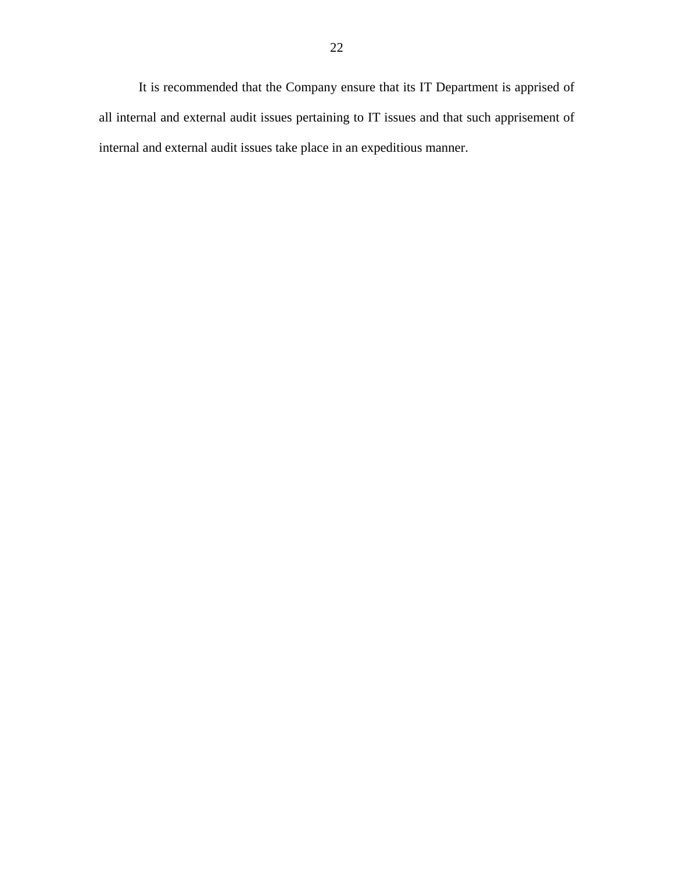It is recommended that the Company ensure that its IT Department is apprised of all internal and external audit issues pertaining to IT issues and that such apprisement of internal and external audit issues take place in an expeditious manner.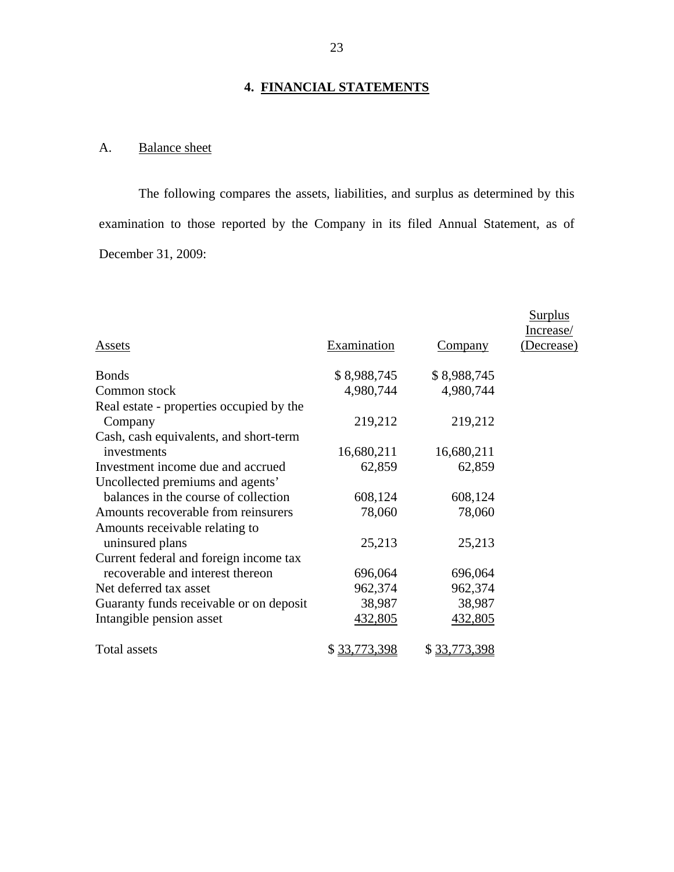# **4. FINANCIAL STATEMENTS**

# A. Balance sheet

The following compares the assets, liabilities, and surplus as determined by this examination to those reported by the Company in its filed Annual Statement, as of December 31, 2009:

|                                          |              |                | Surplus<br>Increase/ |
|------------------------------------------|--------------|----------------|----------------------|
| Assets                                   | Examination  | <u>Company</u> | (Decrease)           |
| <b>Bonds</b>                             | \$8,988,745  | \$8,988,745    |                      |
| Common stock                             | 4,980,744    | 4,980,744      |                      |
| Real estate - properties occupied by the |              |                |                      |
| Company                                  | 219,212      | 219,212        |                      |
| Cash, cash equivalents, and short-term   |              |                |                      |
| investments                              | 16,680,211   | 16,680,211     |                      |
| Investment income due and accrued        | 62,859       | 62,859         |                      |
| Uncollected premiums and agents'         |              |                |                      |
| balances in the course of collection     | 608,124      | 608,124        |                      |
| Amounts recoverable from reinsurers      | 78,060       | 78,060         |                      |
| Amounts receivable relating to           |              |                |                      |
| uninsured plans                          | 25,213       | 25,213         |                      |
| Current federal and foreign income tax   |              |                |                      |
| recoverable and interest thereon         | 696,064      | 696,064        |                      |
| Net deferred tax asset                   | 962,374      | 962,374        |                      |
| Guaranty funds receivable or on deposit  | 38,987       | 38,987         |                      |
| Intangible pension asset                 | 432,805      | 432,805        |                      |
| Total assets                             | \$33,773,398 | \$33,773,398   |                      |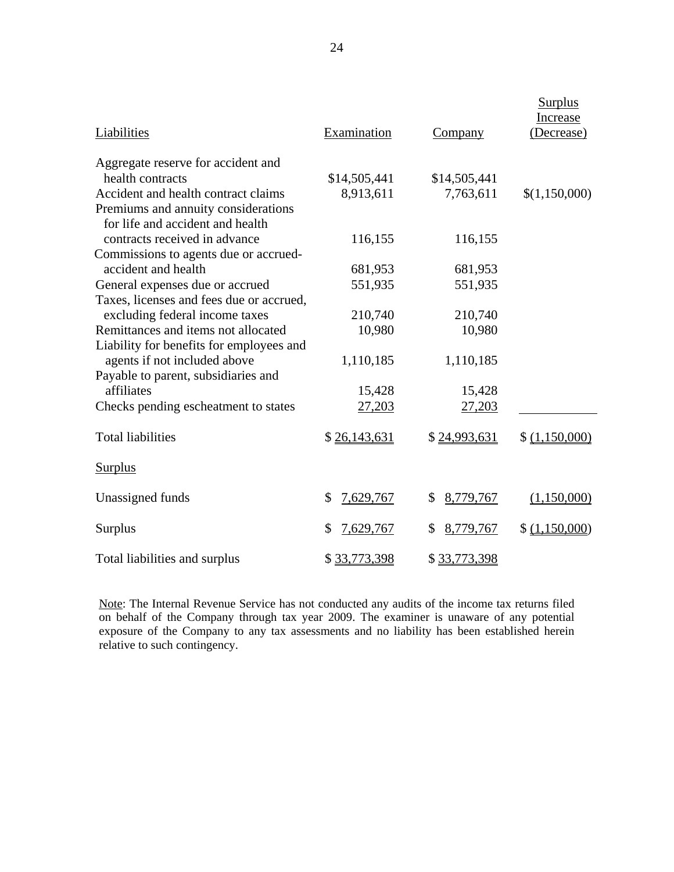| Liabilities                                                                                     | Examination     | Company         | <b>Surplus</b><br>Increase<br>(Decrease) |
|-------------------------------------------------------------------------------------------------|-----------------|-----------------|------------------------------------------|
| Aggregate reserve for accident and                                                              |                 |                 |                                          |
| health contracts                                                                                | \$14,505,441    | \$14,505,441    |                                          |
| Accident and health contract claims                                                             | 8,913,611       | 7,763,611       | \$(1,150,000)                            |
| Premiums and annuity considerations                                                             |                 |                 |                                          |
| for life and accident and health                                                                |                 |                 |                                          |
| contracts received in advance                                                                   | 116,155         | 116,155         |                                          |
| Commissions to agents due or accrued-                                                           |                 |                 |                                          |
| accident and health                                                                             | 681,953         | 681,953         |                                          |
| General expenses due or accrued                                                                 | 551,935         | 551,935         |                                          |
| Taxes, licenses and fees due or accrued,                                                        |                 |                 |                                          |
| excluding federal income taxes                                                                  | 210,740         | 210,740         |                                          |
| Remittances and items not allocated                                                             | 10,980          | 10,980          |                                          |
| Liability for benefits for employees and                                                        |                 |                 |                                          |
| agents if not included above                                                                    | 1,110,185       | 1,110,185       |                                          |
| Payable to parent, subsidiaries and                                                             |                 |                 |                                          |
| affiliates                                                                                      | 15,428          | 15,428          |                                          |
| Checks pending escheatment to states                                                            | 27,203          | 27,203          |                                          |
| <b>Total liabilities</b>                                                                        | \$26,143,631    | \$24,993,631    | \$ (1,150,000)                           |
| <b>Surplus</b>                                                                                  |                 |                 |                                          |
| Unassigned funds                                                                                | 7,629,767<br>\$ | \$<br>8,779,767 | (1,150,000)                              |
| <b>Surplus</b>                                                                                  | 7,629,767<br>\$ | 8,779,767<br>\$ | \$ (1,150,000)                           |
| Total liabilities and surplus                                                                   | \$33,773,398    | \$33,773,398    |                                          |
| Note: The Internal Revenue Service has not conducted any audits of the income tax returns filed |                 |                 |                                          |

on behalf of the Company through tax year 2009. The examiner is unaware of any potential exposure of the Company to any tax assessments and no liability has been established herein relative to such contingency.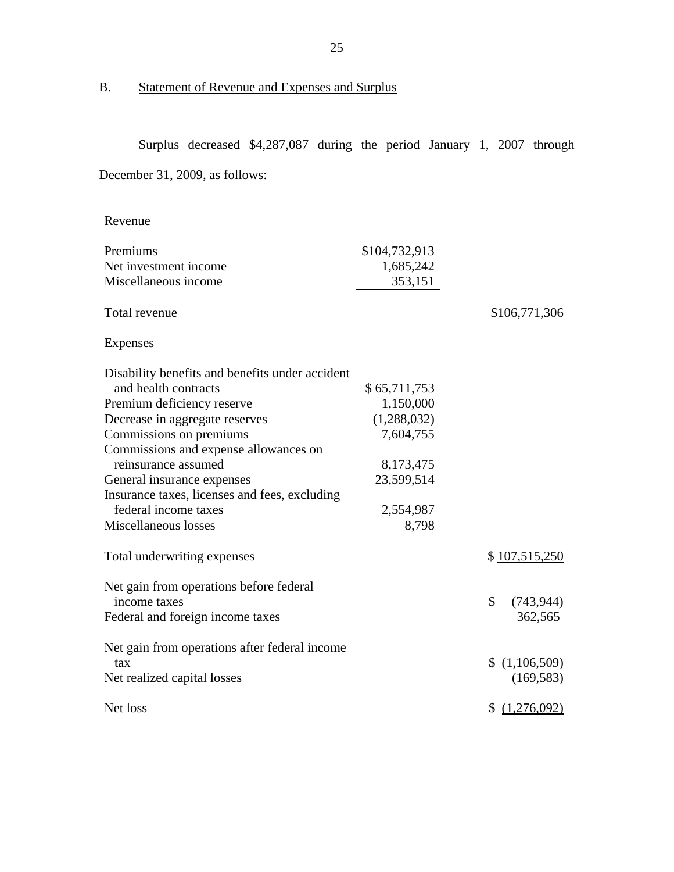B. Statement of Revenue and Expenses and Surplus

<u>Revenue</u><br>Premiums Surplus decreased \$4,287,087 during the period January 1, 2007 through December 31, 2009, as follows: Net investment income \$104,732,913 1,685,242

| Miscellaneous income                            | 353,151      |                  |
|-------------------------------------------------|--------------|------------------|
| Total revenue                                   |              | \$106,771,306    |
| <b>Expenses</b>                                 |              |                  |
| Disability benefits and benefits under accident |              |                  |
| and health contracts                            | \$65,711,753 |                  |
| Premium deficiency reserve                      | 1,150,000    |                  |
| Decrease in aggregate reserves                  | (1,288,032)  |                  |
| Commissions on premiums                         | 7,604,755    |                  |
| Commissions and expense allowances on           |              |                  |
| reinsurance assumed                             | 8,173,475    |                  |
| General insurance expenses                      | 23,599,514   |                  |
| Insurance taxes, licenses and fees, excluding   |              |                  |
| federal income taxes                            | 2,554,987    |                  |
| Miscellaneous losses                            | 8,798        |                  |
| Total underwriting expenses                     |              | \$107,515,250    |
| Net gain from operations before federal         |              |                  |
| income taxes                                    |              | \$<br>(743, 944) |
| Federal and foreign income taxes                |              | 362,565          |
| Net gain from operations after federal income   |              |                  |
| tax                                             |              | (1,106,509)      |
| Net realized capital losses                     |              | (169, 583)       |
| Net loss                                        |              | \$(1,276,092)    |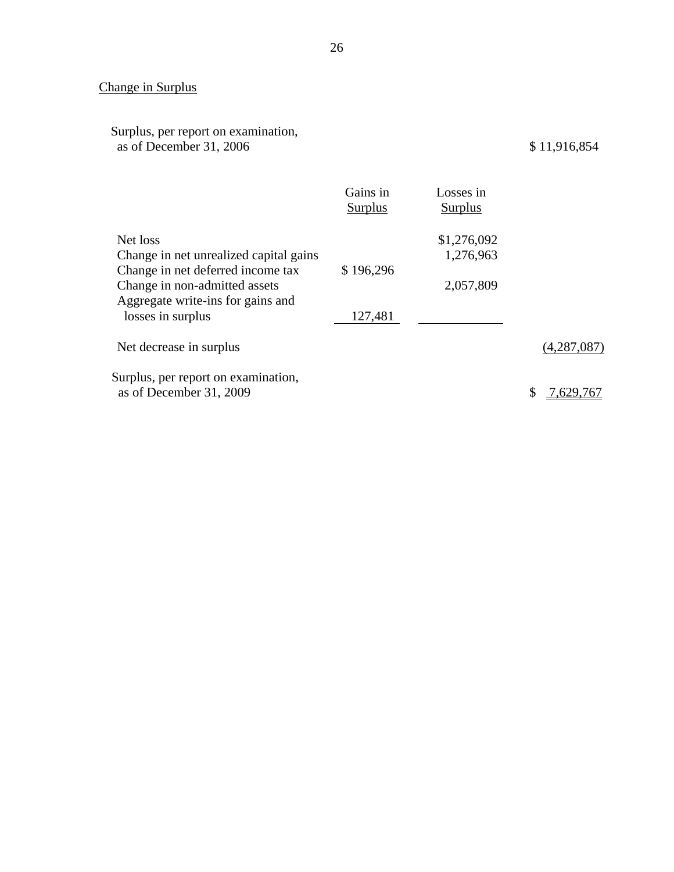# Change in Surplus

| Surplus, per report on examination, |              |
|-------------------------------------|--------------|
| as of December 31, 2006             | \$11,916,854 |

|                                                                                                         | Gains in<br><b>Surplus</b> | Losses in<br><b>Surplus</b> |             |
|---------------------------------------------------------------------------------------------------------|----------------------------|-----------------------------|-------------|
| Net loss<br>Change in net unrealized capital gains                                                      |                            | \$1,276,092<br>1,276,963    |             |
| Change in net deferred income tax<br>Change in non-admitted assets<br>Aggregate write-ins for gains and | \$196,296                  | 2,057,809                   |             |
| losses in surplus<br>Net decrease in surplus                                                            | 127,481                    |                             | (4,287,087) |
| Surplus, per report on examination,                                                                     |                            |                             |             |
| as of December 31, 2009                                                                                 |                            |                             |             |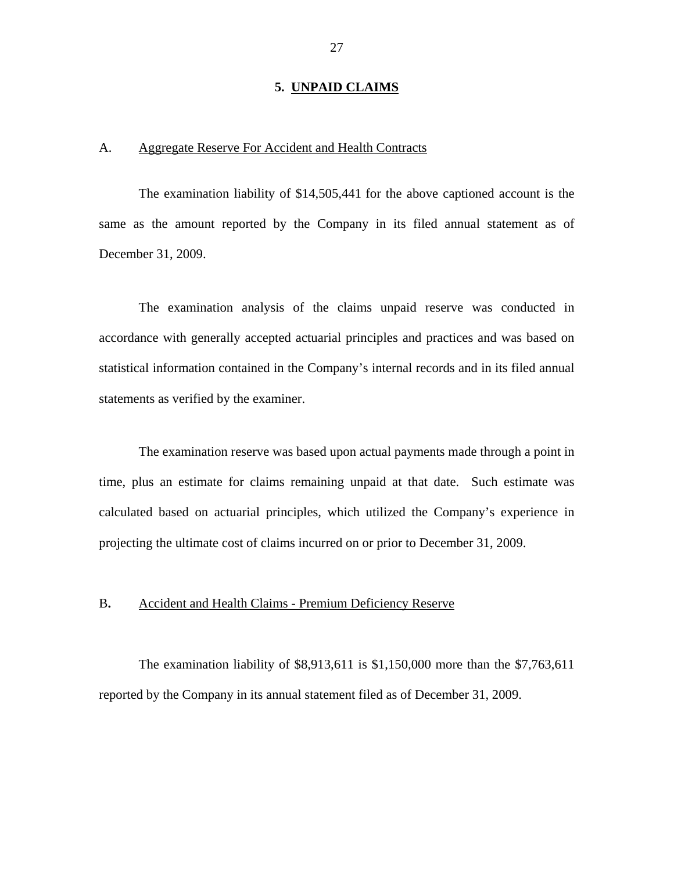#### **5. UNPAID CLAIMS**

# <span id="page-28-0"></span>A. Aggregate Reserve For Accident and Health Contracts

The examination liability of \$14,505,441 for the above captioned account is the same as the amount reported by the Company in its filed annual statement as of December 31, 2009.

The examination analysis of the claims unpaid reserve was conducted in accordance with generally accepted actuarial principles and practices and was based on statistical information contained in the Company's internal records and in its filed annual statements as verified by the examiner.

The examination reserve was based upon actual payments made through a point in time, plus an estimate for claims remaining unpaid at that date. Such estimate was calculated based on actuarial principles, which utilized the Company's experience in projecting the ultimate cost of claims incurred on or prior to December 31, 2009.

#### B**.** Accident and Health Claims - Premium Deficiency Reserve

The examination liability of \$8,913,611 is \$1,150,000 more than the \$7,763,611 reported by the Company in its annual statement filed as of December 31, 2009.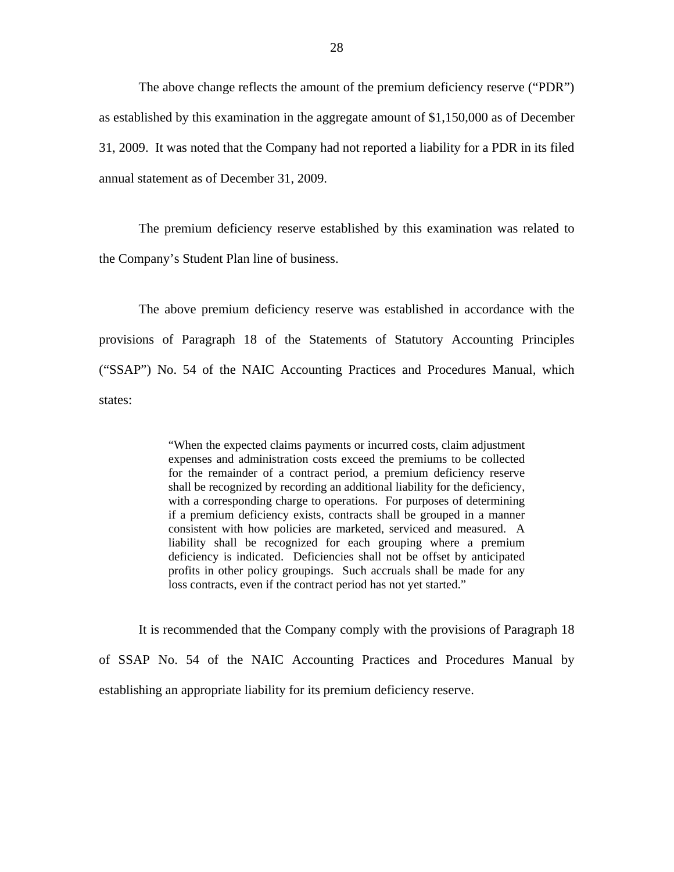The above change reflects the amount of the premium deficiency reserve ("PDR") as established by this examination in the aggregate amount of \$1,150,000 as of December 31, 2009. It was noted that the Company had not reported a liability for a PDR in its filed annual statement as of December 31, 2009.

The premium deficiency reserve established by this examination was related to the Company's Student Plan line of business.

The above premium deficiency reserve was established in accordance with the provisions of Paragraph 18 of the Statements of Statutory Accounting Principles ("SSAP") No. 54 of the NAIC Accounting Practices and Procedures Manual*,* which states:

> "When the expected claims payments or incurred costs, claim adjustment expenses and administration costs exceed the premiums to be collected for the remainder of a contract period, a premium deficiency reserve shall be recognized by recording an additional liability for the deficiency, with a corresponding charge to operations. For purposes of determining if a premium deficiency exists, contracts shall be grouped in a manner consistent with how policies are marketed, serviced and measured. A liability shall be recognized for each grouping where a premium deficiency is indicated. Deficiencies shall not be offset by anticipated profits in other policy groupings. Such accruals shall be made for any loss contracts, even if the contract period has not yet started."

It is recommended that the Company comply with the provisions of Paragraph 18 of SSAP No. 54 of the NAIC Accounting Practices and Procedures Manual by establishing an appropriate liability for its premium deficiency reserve.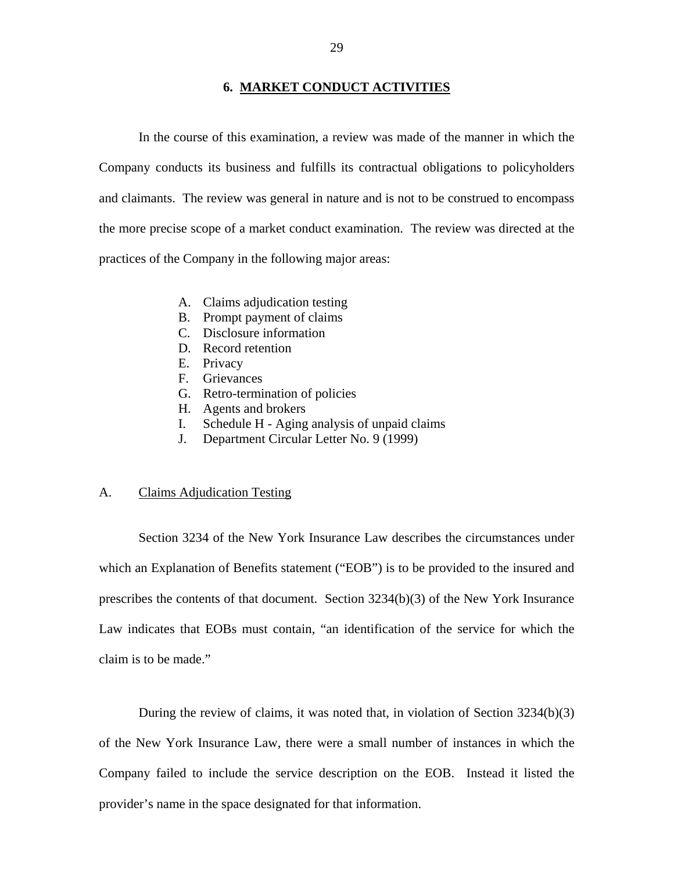#### **6. MARKET CONDUCT ACTIVITIES**

<span id="page-30-0"></span>In the course of this examination, a review was made of the manner in which the Company conducts its business and fulfills its contractual obligations to policyholders and claimants. The review was general in nature and is not to be construed to encompass the more precise scope of a market conduct examination. The review was directed at the practices of the Company in the following major areas:

- A. Claims adjudication testing
- B. Prompt payment of claims
- C. Disclosure information
- D. Record retention
- E. Privacy
- F. Grievances
- G. Retro-termination of policies
- H. Agents and brokers
- I. Schedule H Aging analysis of unpaid claims J. Department Circular Letter No. 9 (1999)
- 

## A. Claims Adjudication Testing

Section 3234 of the New York Insurance Law describes the circumstances under which an Explanation of Benefits statement ("EOB") is to be provided to the insured and prescribes the contents of that document. Section 3234(b)(3) of the New York Insurance Law indicates that EOBs must contain, "an identification of the service for which the claim is to be made."

During the review of claims, it was noted that, in violation of Section 3234(b)(3) of the New York Insurance Law, there were a small number of instances in which the Company failed to include the service description on the EOB. Instead it listed the provider's name in the space designated for that information.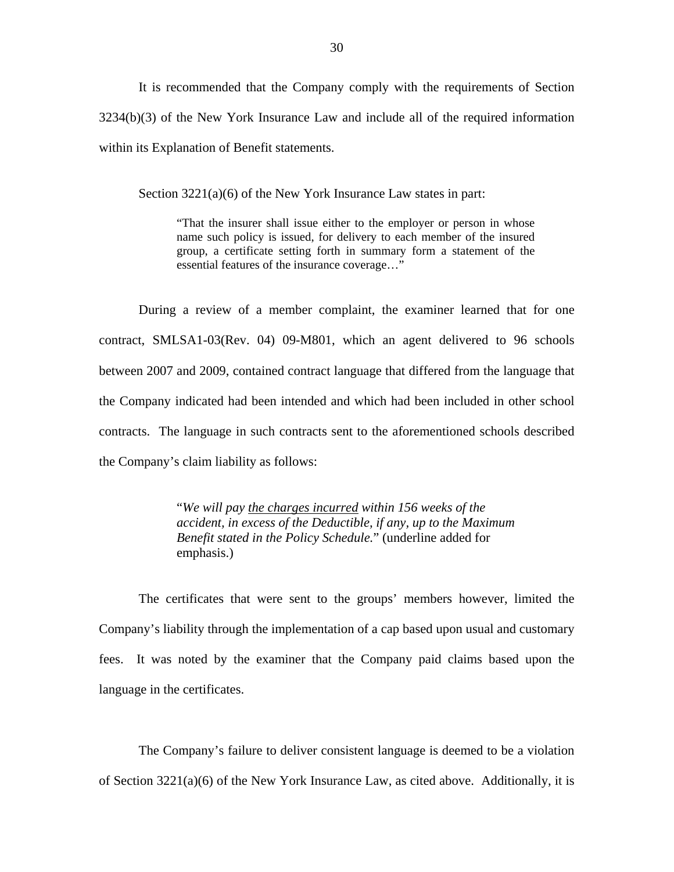It is recommended that the Company comply with the requirements of Section 3234(b)(3) of the New York Insurance Law and include all of the required information within its Explanation of Benefit statements.

Section 3221(a)(6) of the New York Insurance Law states in part:

"That the insurer shall issue either to the employer or person in whose name such policy is issued, for delivery to each member of the insured group, a certificate setting forth in summary form a statement of the essential features of the insurance coverage…"

During a review of a member complaint, the examiner learned that for one contract, SMLSA1-03(Rev. 04) 09-M801, which an agent delivered to 96 schools between 2007 and 2009, contained contract language that differed from the language that the Company indicated had been intended and which had been included in other school contracts. The language in such contracts sent to the aforementioned schools described the Company's claim liability as follows:

> "*We will pay the charges incurred within 156 weeks of the accident, in excess of the Deductible, if any, up to the Maximum Benefit stated in the Policy Schedule.*" (underline added for emphasis.)

The certificates that were sent to the groups' members however, limited the Company's liability through the implementation of a cap based upon usual and customary fees. It was noted by the examiner that the Company paid claims based upon the language in the certificates.

The Company's failure to deliver consistent language is deemed to be a violation of Section 3221(a)(6) of the New York Insurance Law, as cited above. Additionally, it is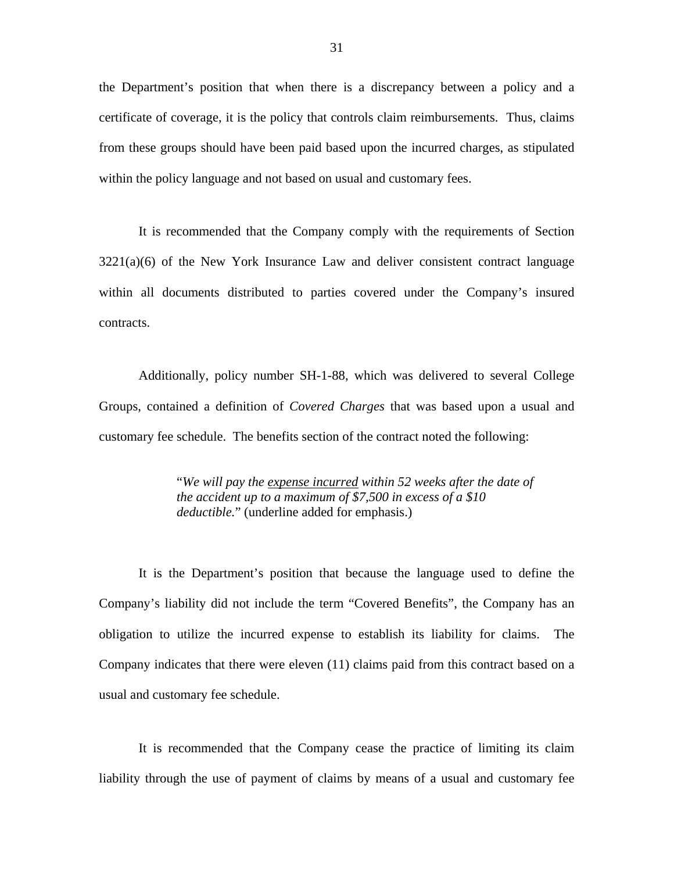the Department's position that when there is a discrepancy between a policy and a certificate of coverage, it is the policy that controls claim reimbursements. Thus, claims from these groups should have been paid based upon the incurred charges, as stipulated within the policy language and not based on usual and customary fees.

It is recommended that the Company comply with the requirements of Section 3221(a)(6) of the New York Insurance Law and deliver consistent contract language within all documents distributed to parties covered under the Company's insured contracts.

Additionally, policy number SH-1-88, which was delivered to several College Groups, contained a definition of *Covered Charges* that was based upon a usual and customary fee schedule. The benefits section of the contract noted the following:

> "*We will pay the expense incurred within 52 weeks after the date of the accident up to a maximum of \$7,500 in excess of a \$10 deductible.*" (underline added for emphasis.)

It is the Department's position that because the language used to define the Company's liability did not include the term "Covered Benefits", the Company has an obligation to utilize the incurred expense to establish its liability for claims. The Company indicates that there were eleven (11) claims paid from this contract based on a usual and customary fee schedule.

It is recommended that the Company cease the practice of limiting its claim liability through the use of payment of claims by means of a usual and customary fee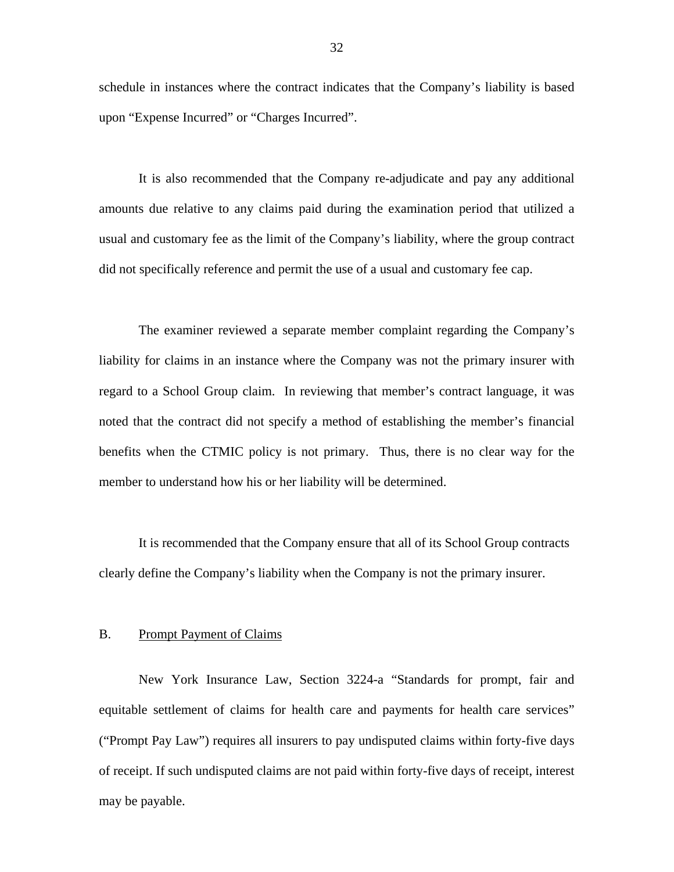<span id="page-33-0"></span>schedule in instances where the contract indicates that the Company's liability is based upon "Expense Incurred" or "Charges Incurred".

It is also recommended that the Company re-adjudicate and pay any additional amounts due relative to any claims paid during the examination period that utilized a usual and customary fee as the limit of the Company's liability, where the group contract did not specifically reference and permit the use of a usual and customary fee cap.

The examiner reviewed a separate member complaint regarding the Company's liability for claims in an instance where the Company was not the primary insurer with regard to a School Group claim. In reviewing that member's contract language, it was noted that the contract did not specify a method of establishing the member's financial benefits when the CTMIC policy is not primary. Thus, there is no clear way for the member to understand how his or her liability will be determined.

It is recommended that the Company ensure that all of its School Group contracts clearly define the Company's liability when the Company is not the primary insurer.

#### B. Prompt Payment of Claims

New York Insurance Law, Section 3224-a "Standards for prompt, fair and equitable settlement of claims for health care and payments for health care services" ("Prompt Pay Law") requires all insurers to pay undisputed claims within forty-five days of receipt. If such undisputed claims are not paid within forty-five days of receipt, interest may be payable.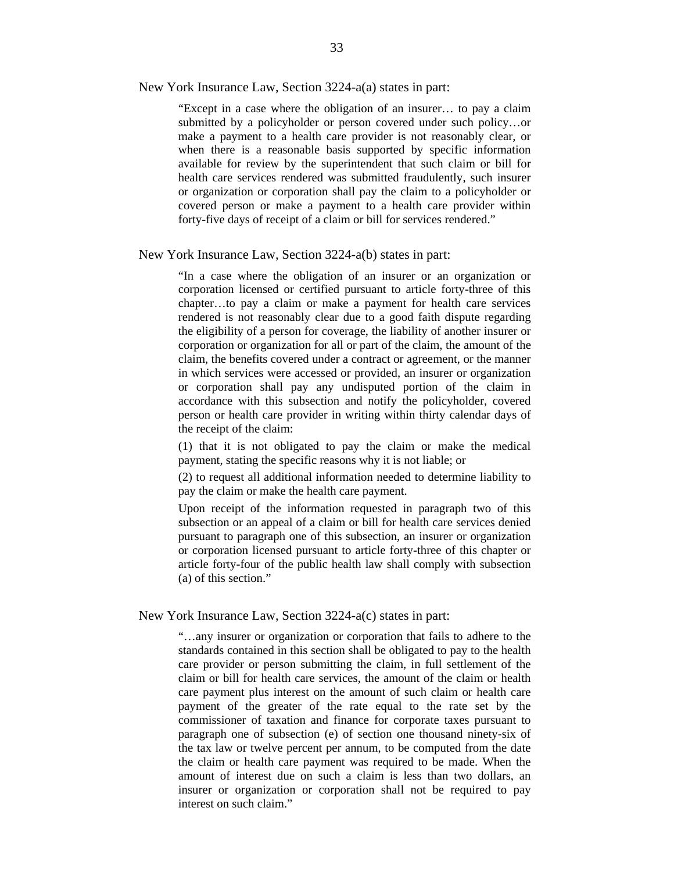New York Insurance Law, Section 3224-a(a) states in part:

"Except in a case where the obligation of an insurer… to pay a claim submitted by a policyholder or person covered under such policy…or make a payment to a health care provider is not reasonably clear, or when there is a reasonable basis supported by specific information available for review by the superintendent that such claim or bill for health care services rendered was submitted fraudulently, such insurer or organization or corporation shall pay the claim to a policyholder or covered person or make a payment to a health care provider within forty-five days of receipt of a claim or bill for services rendered."

New York Insurance Law, Section 3224-a(b) states in part:

 person or health care provider in writing within thirty calendar days of "In a case where the obligation of an insurer or an organization or corporation licensed or certified pursuant to article forty-three of this chapter…to pay a claim or make a payment for health care services rendered is not reasonably clear due to a good faith dispute regarding the eligibility of a person for coverage, the liability of another insurer or corporation or organization for all or part of the claim, the amount of the claim, the benefits covered under a contract or agreement, or the manner in which services were accessed or provided, an insurer or organization or corporation shall pay any undisputed portion of the claim in accordance with this subsection and notify the policyholder, covered the receipt of the claim:

(1) that it is not obligated to pay the claim or make the medical payment, stating the specific reasons why it is not liable; or

(2) to request all additional information needed to determine liability to pay the claim or make the health care payment.

Upon receipt of the information requested in paragraph two of this subsection or an appeal of a claim or bill for health care services denied pursuant to paragraph one of this subsection, an insurer or organization or corporation licensed pursuant to article forty-three of this chapter or article forty-four of the public health law shall comply with subsection (a) of this section."

New York Insurance Law, Section 3224-a(c) states in part:

"…any insurer or organization or corporation that fails to adhere to the standards contained in this section shall be obligated to pay to the health care provider or person submitting the claim, in full settlement of the claim or bill for health care services, the amount of the claim or health care payment plus interest on the amount of such claim or health care payment of the greater of the rate equal to the rate set by the commissioner of taxation and finance for corporate taxes pursuant to paragraph one of subsection (e) of section one thousand ninety-six of the tax law or twelve percent per annum, to be computed from the date the claim or health care payment was required to be made. When the amount of interest due on such a claim is less than two dollars, an insurer or organization or corporation shall not be required to pay interest on such claim."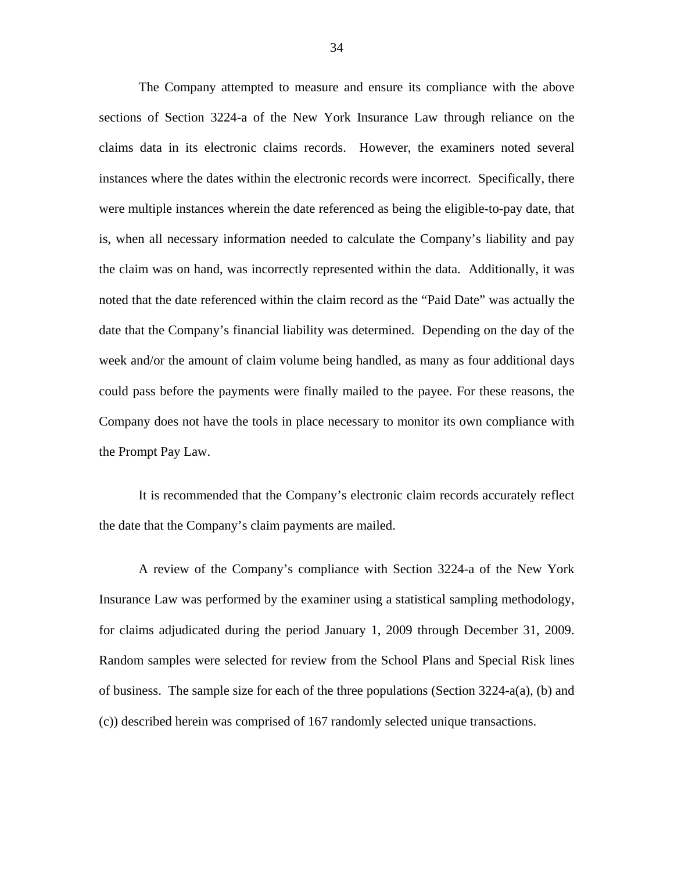The Company attempted to measure and ensure its compliance with the above sections of Section 3224-a of the New York Insurance Law through reliance on the claims data in its electronic claims records. However, the examiners noted several instances where the dates within the electronic records were incorrect. Specifically, there were multiple instances wherein the date referenced as being the eligible-to-pay date, that is, when all necessary information needed to calculate the Company's liability and pay the claim was on hand, was incorrectly represented within the data. Additionally, it was noted that the date referenced within the claim record as the "Paid Date" was actually the date that the Company's financial liability was determined. Depending on the day of the week and/or the amount of claim volume being handled, as many as four additional days could pass before the payments were finally mailed to the payee. For these reasons, the Company does not have the tools in place necessary to monitor its own compliance with the Prompt Pay Law.

It is recommended that the Company's electronic claim records accurately reflect the date that the Company's claim payments are mailed.

A review of the Company's compliance with Section 3224-a of the New York Insurance Law was performed by the examiner using a statistical sampling methodology, for claims adjudicated during the period January 1, 2009 through December 31, 2009. Random samples were selected for review from the School Plans and Special Risk lines of business. The sample size for each of the three populations (Section 3224-a(a), (b) and (c)) described herein was comprised of 167 randomly selected unique transactions.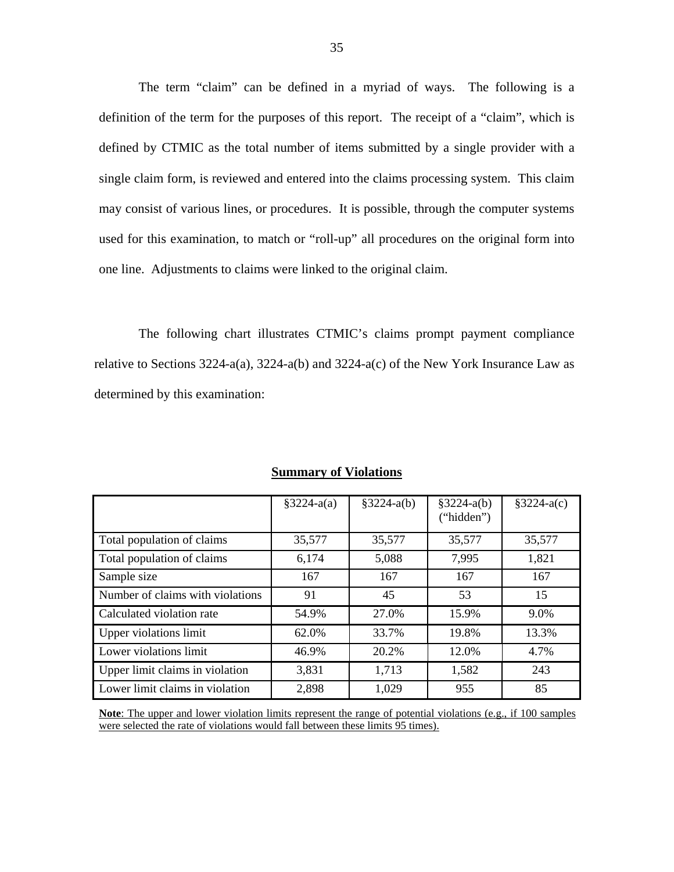The term "claim" can be defined in a myriad of ways. The following is a definition of the term for the purposes of this report. The receipt of a "claim", which is defined by CTMIC as the total number of items submitted by a single provider with a single claim form, is reviewed and entered into the claims processing system. This claim may consist of various lines, or procedures. It is possible, through the computer systems used for this examination, to match or "roll-up" all procedures on the original form into one line. Adjustments to claims were linked to the original claim.

The following chart illustrates CTMIC's claims prompt payment compliance relative to Sections 3224-a(a), 3224-a(b) and 3224-a(c) of the New York Insurance Law as determined by this examination:

|                                  | $§3224-a(a)$ | $§3224-a(b)$ | $§3224-a(b)$ | $§3224-a(c)$ |
|----------------------------------|--------------|--------------|--------------|--------------|
|                                  |              |              | ("hidden")   |              |
|                                  |              |              |              |              |
| Total population of claims       | 35,577       | 35,577       | 35,577       | 35,577       |
| Total population of claims       | 6,174        | 5,088        | 7,995        | 1,821        |
| Sample size                      | 167          | 167          | 167          | 167          |
| Number of claims with violations | 91           | 45           | 53           | 15           |
| Calculated violation rate        | 54.9%        | 27.0%        | 15.9%        | 9.0%         |
| Upper violations limit           | 62.0%        | 33.7%        | 19.8%        | 13.3%        |
| Lower violations limit           | 46.9%        | 20.2%        | 12.0%        | 4.7%         |
| Upper limit claims in violation  | 3,831        | 1,713        | 1,582        | 243          |
| Lower limit claims in violation  | 2,898        | 1,029        | 955          | 85           |

## **Summary of Violations**

**Note**: The upper and lower violation limits represent the range of potential violations (e.g., if 100 samples were selected the rate of violations would fall between these limits 95 times).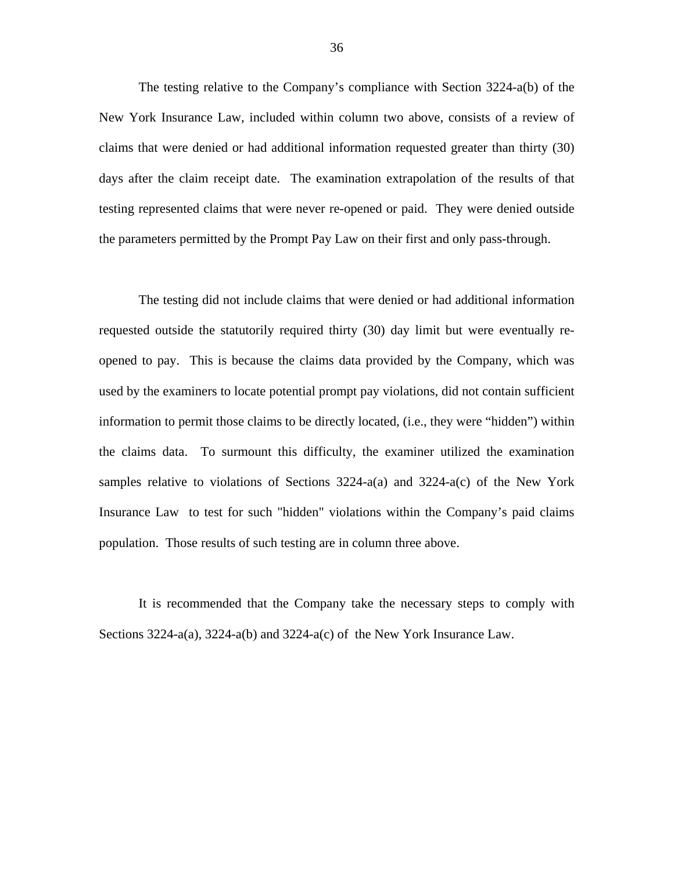The testing relative to the Company's compliance with Section 3224-a(b) of the New York Insurance Law, included within column two above, consists of a review of claims that were denied or had additional information requested greater than thirty (30) days after the claim receipt date. The examination extrapolation of the results of that testing represented claims that were never re-opened or paid. They were denied outside the parameters permitted by the Prompt Pay Law on their first and only pass-through.

The testing did not include claims that were denied or had additional information requested outside the statutorily required thirty (30) day limit but were eventually reopened to pay. This is because the claims data provided by the Company, which was used by the examiners to locate potential prompt pay violations, did not contain sufficient information to permit those claims to be directly located, (i.e., they were "hidden") within the claims data. To surmount this difficulty, the examiner utilized the examination samples relative to violations of Sections  $3224-a(a)$  and  $3224-a(c)$  of the New York Insurance Law to test for such "hidden" violations within the Company's paid claims population. Those results of such testing are in column three above.

It is recommended that the Company take the necessary steps to comply with Sections  $3224-a(a)$ ,  $3224-a(b)$  and  $3224-a(c)$  of the New York Insurance Law.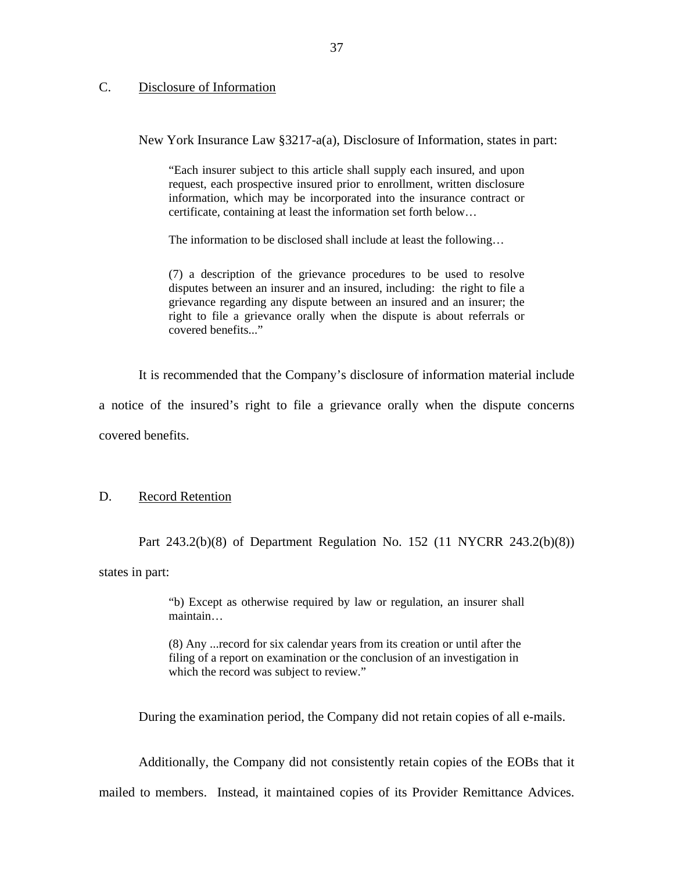# <span id="page-38-0"></span>C. Disclosure of Information

New York Insurance Law §3217-a(a), Disclosure of Information, states in part:

"Each insurer subject to this article shall supply each insured, and upon request, each prospective insured prior to enrollment, written disclosure information, which may be incorporated into the insurance contract or certificate, containing at least the information set forth below…

The information to be disclosed shall include at least the following…

(7) a description of the grievance procedures to be used to resolve disputes between an insurer and an insured, including: the right to file a grievance regarding any dispute between an insured and an insurer; the right to file a grievance orally when the dispute is about referrals or covered benefits..."

It is recommended that the Company's disclosure of information material include

a notice of the insured's right to file a grievance orally when the dispute concerns covered benefits.

#### D. Record Retention

Part 243.2(b)(8) of Department Regulation No. 152 (11 NYCRR 243.2(b)(8))

states in part:

"b) Except as otherwise required by law or regulation, an insurer shall maintain…

(8) Any ...record for six calendar years from its creation or until after the filing of a report on examination or the conclusion of an investigation in which the record was subject to review."

During the examination period, the Company did not retain copies of all e-mails.

Additionally, the Company did not consistently retain copies of the EOBs that it mailed to members. Instead, it maintained copies of its Provider Remittance Advices.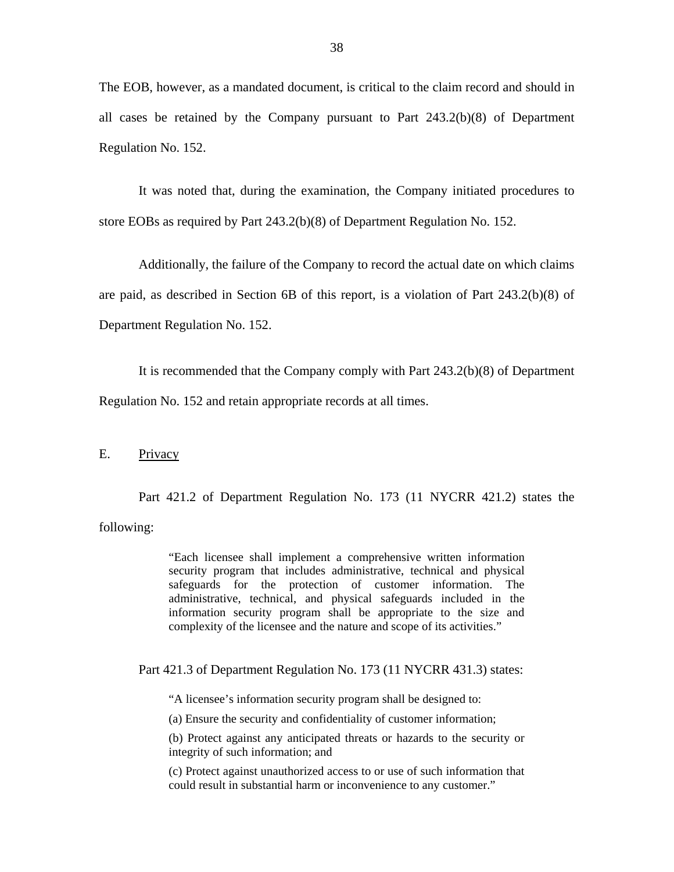<span id="page-39-0"></span>The EOB, however, as a mandated document, is critical to the claim record and should in all cases be retained by the Company pursuant to Part 243.2(b)(8) of Department Regulation No. 152.

It was noted that, during the examination, the Company initiated procedures to store EOBs as required by Part 243.2(b)(8) of Department Regulation No. 152.

Additionally, the failure of the Company to record the actual date on which claims are paid, as described in Section 6B of this report, is a violation of Part 243.2(b)(8) of Department Regulation No. 152.

It is recommended that the Company comply with Part 243.2(b)(8) of Department

Regulation No. 152 and retain appropriate records at all times.

# E. Privacy

Part 421.2 of Department Regulation No. 173 (11 NYCRR 421.2) states the following:

> "Each licensee shall implement a comprehensive written information security program that includes administrative, technical and physical safeguards for the protection of customer information. The administrative, technical, and physical safeguards included in the information security program shall be appropriate to the size and complexity of the licensee and the nature and scope of its activities."

Part 421.3 of Department Regulation No. 173 (11 NYCRR 431.3) states:

"A licensee's information security program shall be designed to:

(a) Ensure the security and confidentiality of customer information;

(b) Protect against any anticipated threats or hazards to the security or integrity of such information; and

(c) Protect against unauthorized access to or use of such information that could result in substantial harm or inconvenience to any customer."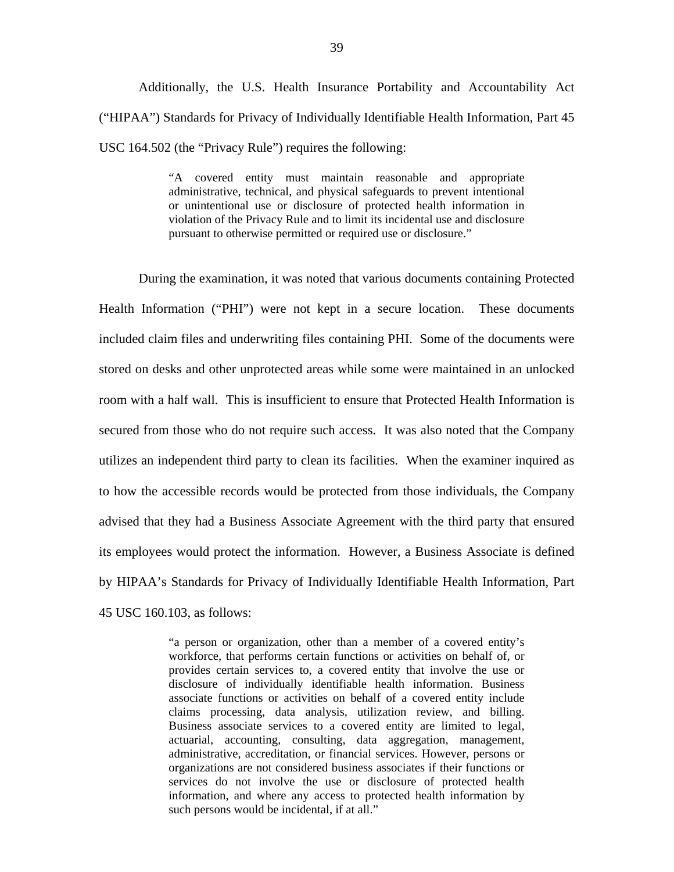Additionally, the U.S. Health Insurance Portability and Accountability Act ("HIPAA") Standards for Privacy of Individually Identifiable Health Information, Part 45 USC 164.502 (the "Privacy Rule") requires the following:

> "A covered entity must maintain reasonable and appropriate administrative, technical, and physical safeguards to prevent intentional or unintentional use or disclosure of protected health information in violation of the Privacy Rule and to limit its incidental use and disclosure pursuant to otherwise permitted or required use or disclosure."

During the examination, it was noted that various documents containing Protected Health Information ("PHI") were not kept in a secure location. These documents included claim files and underwriting files containing PHI. Some of the documents were stored on desks and other unprotected areas while some were maintained in an unlocked room with a half wall. This is insufficient to ensure that Protected Health Information is secured from those who do not require such access. It was also noted that the Company utilizes an independent third party to clean its facilities. When the examiner inquired as to how the accessible records would be protected from those individuals, the Company advised that they had a Business Associate Agreement with the third party that ensured its employees would protect the information. However, a Business Associate is defined by HIPAA's Standards for Privacy of Individually Identifiable Health Information, Part 45 USC 160.103, as follows:

> "a person or organization, other than a member of a covered entity's workforce, that performs certain functions or activities on behalf of, or provides certain services to, a covered entity that involve the use or disclosure of individually identifiable health information. Business associate functions or activities on behalf of a covered entity include claims processing, data analysis, utilization review, and billing. Business associate services to a covered entity are limited to legal, actuarial, accounting, consulting, data aggregation, management, administrative, accreditation, or financial services. However, persons or organizations are not considered business associates if their functions or services do not involve the use or disclosure of protected health information, and where any access to protected health information by such persons would be incidental, if at all."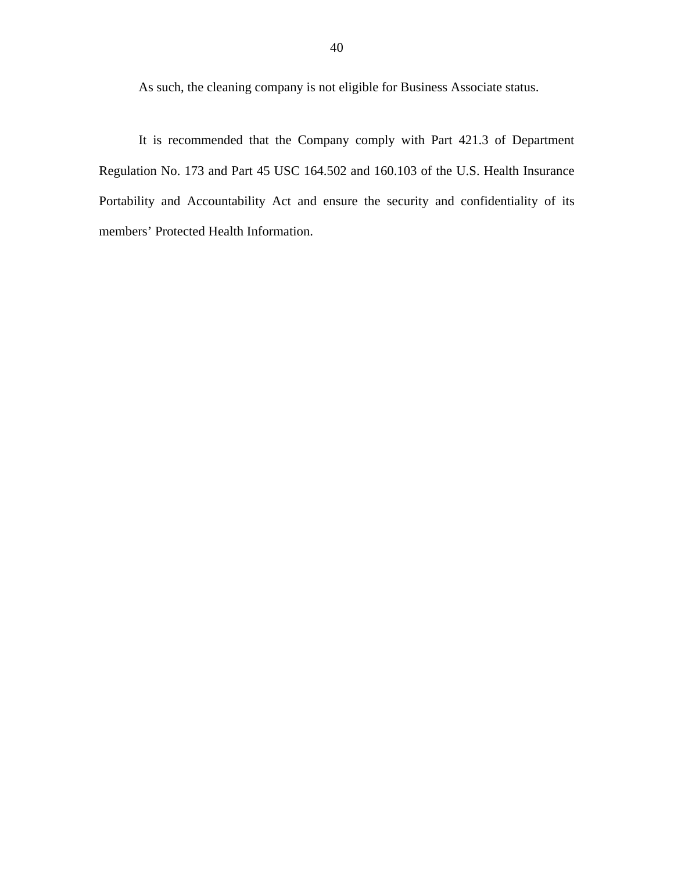As such, the cleaning company is not eligible for Business Associate status.

It is recommended that the Company comply with Part 421.3 of Department Regulation No. 173 and Part 45 USC 164.502 and 160.103 of the U.S. Health Insurance Portability and Accountability Act and ensure the security and confidentiality of its members' Protected Health Information.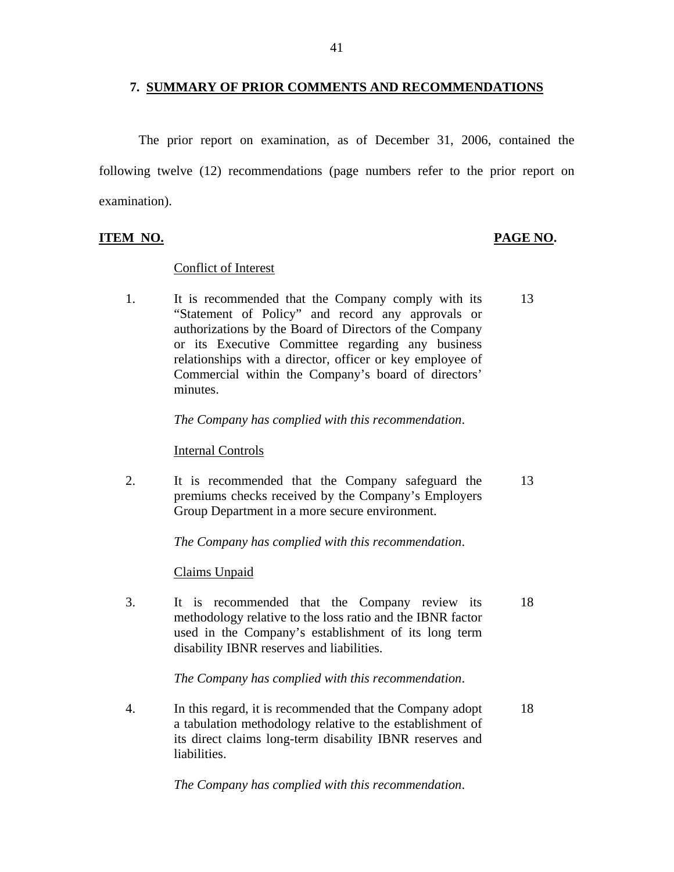## **7. SUMMARY OF PRIOR COMMENTS AND RECOMMENDATIONS**

The prior report on examination, as of December 31, 2006, contained the following twelve (12) recommendations (page numbers refer to the prior report on examination).

# **ITEM NO. PAGE NO.**

## Conflict of Interest

1. It is recommended that the Company comply with its 13 "Statement of Policy" and record any approvals or authorizations by the Board of Directors of the Company or its Executive Committee regarding any business relationships with a director, officer or key employee of Commercial within the Company's board of directors' minutes.

## *The Company has complied with this recommendation*.

#### Internal Controls

2. It is recommended that the Company safeguard the 13 premiums checks received by the Company's Employers Group Department in a more secure environment.

*The Company has complied with this recommendation*.

# Claims Unpaid

3. It is recommended that the Company review its 18 methodology relative to the loss ratio and the IBNR factor used in the Company's establishment of its long term disability IBNR reserves and liabilities.

*The Company has complied with this recommendation*.

4. In this regard, it is recommended that the Company adopt 18 a tabulation methodology relative to the establishment of its direct claims long-term disability IBNR reserves and liabilities.

*The Company has complied with this recommendation*.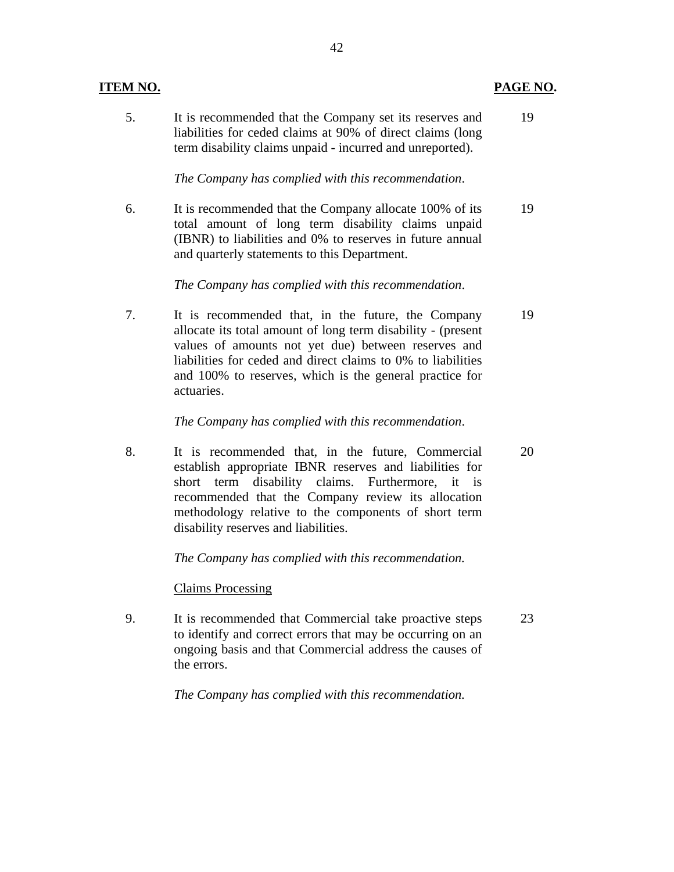## **ITEM NO. PAGE NO.**

5. It is recommended that the Company set its reserves and 19 liabilities for ceded claims at 90% of direct claims (long term disability claims unpaid - incurred and unreported).

*The Company has complied with this recommendation*.

6. It is recommended that the Company allocate 100% of its 19 total amount of long term disability claims unpaid (IBNR) to liabilities and 0% to reserves in future annual and quarterly statements to this Department.

*The Company has complied with this recommendation*.

7. It is recommended that, in the future, the Company 19 allocate its total amount of long term disability - (present values of amounts not yet due) between reserves and liabilities for ceded and direct claims to 0% to liabilities and 100% to reserves, which is the general practice for actuaries.

## *The Company has complied with this recommendation*.

8. It is recommended that, in the future, Commercial 20 establish appropriate IBNR reserves and liabilities for short term disability claims. Furthermore, it is recommended that the Company review its allocation methodology relative to the components of short term disability reserves and liabilities.

*The Company has complied with this recommendation.* 

Claims Processing

9. It is recommended that Commercial take proactive steps 23 to identify and correct errors that may be occurring on an ongoing basis and that Commercial address the causes of the errors.

*The Company has complied with this recommendation.*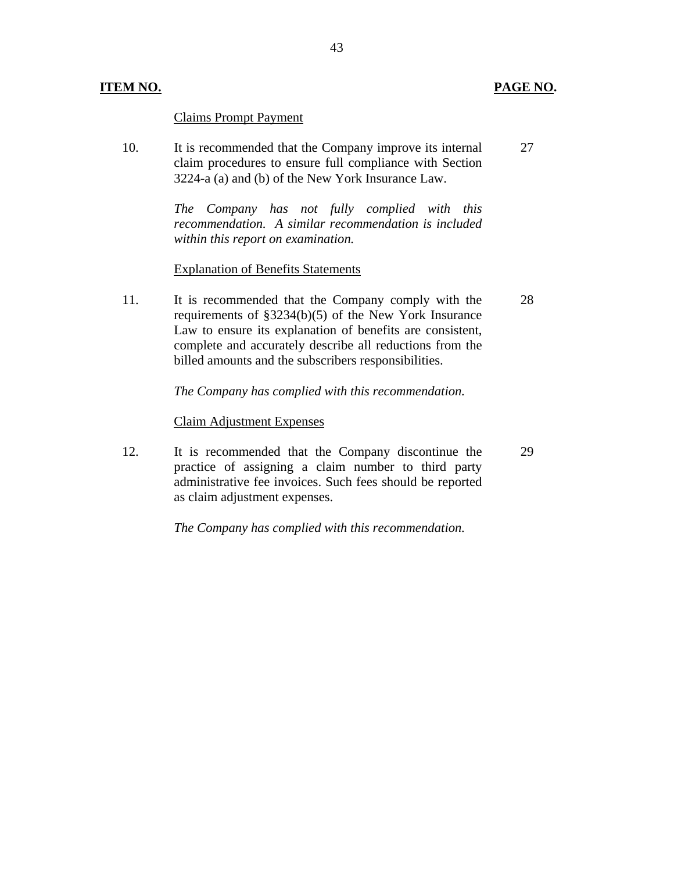## **ITEM NO. PAGE NO.**

Claims Prompt Payment

10. It is recommended that the Company improve its internal claim procedures to ensure full compliance with Section 3224-a (a) and (b) of the New York Insurance Law. 27

> *The Company has not fully complied with this recommendation. A similar recommendation is included within this report on examination.*

#### Explanation of Benefits Statements

11. It is recommended that the Company comply with the requirements of §3234(b)(5) of the New York Insurance Law to ensure its explanation of benefits are consistent, complete and accurately describe all reductions from the billed amounts and the subscribers responsibilities. 28

#### *The Company has complied with this recommendation.*

#### Claim Adjustment Expenses

12. It is recommended that the Company discontinue the practice of assigning a claim number to third party administrative fee invoices. Such fees should be reported as claim adjustment expenses. 29

*The Company has complied with this recommendation.* 

43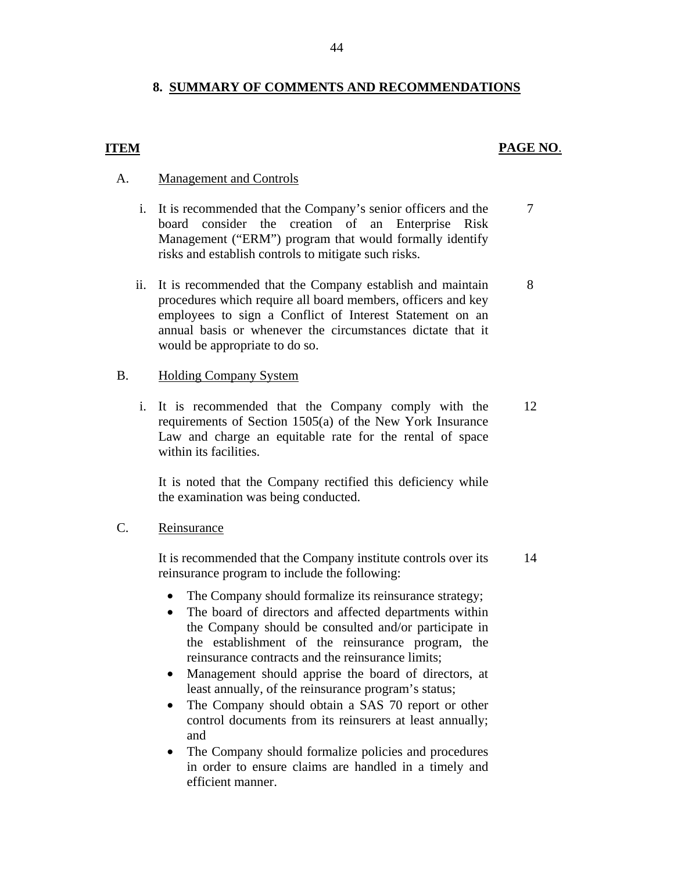# **8. SUMMARY OF COMMENTS AND RECOMMENDATIONS**

# **ITEM**

# **PAGE NO**.

7

8

# A. Management and Controls

- risks and establish controls to mitigate such risks. i. It is recommended that the Company's senior officers and the board consider the creation of an Enterprise Risk Management ("ERM") program that would formally identify
- ii. It is recommended that the Company establish and maintain procedures which require all board members, officers and key employees to sign a Conflict of Interest Statement on an annual basis or whenever the circumstances dictate that it would be appropriate to do so.

# B. Holding Company System

i. It is recommended that the Company comply with the requirements of Section 1505(a) of the New York Insurance Law and charge an equitable rate for the rental of space within its facilities. 12

It is noted that the Company rectified this deficiency while the examination was being conducted.

#### Reinsurance

C. Reinsurance<br>It is recommended that the Company institute controls over its reinsurance program to include the following: 14

- The Company should formalize its reinsurance strategy;
- The board of directors and affected departments within the Company should be consulted and/or participate in the establishment of the reinsurance program, the reinsurance contracts and the reinsurance limits;
- Management should apprise the board of directors, at least annually, of the reinsurance program's status;
- The Company should obtain a SAS 70 report or other control documents from its reinsurers at least annually; and
- The Company should formalize policies and procedures in order to ensure claims are handled in a timely and efficient manner.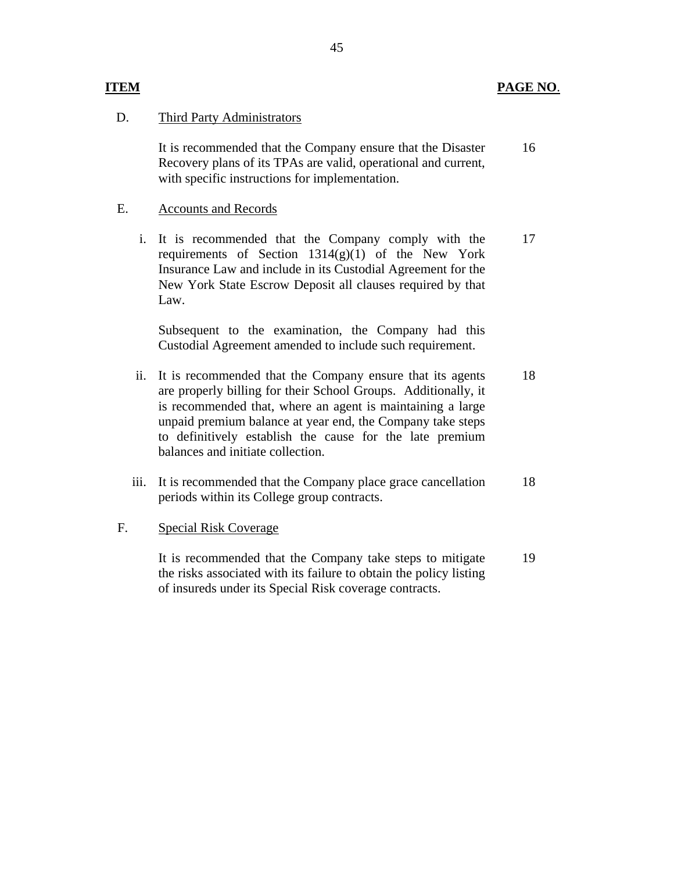# Third Party Administrators

D. Third Party Administrators<br>It is recommended that the Company ensure that the Disaster Recovery plans of its TPAs are valid, operational and current, with specific instructions for implementation. 16

# **Accounts and Records**

E. Accounts and Records<br>i. It is recommended that the Company comply with the requirements of Section  $1314(g)(1)$  of the New York Insurance Law and include in its Custodial Agreement for the New York State Escrow Deposit all clauses required by that Law. 17

Subsequent to the examination, the Company had this Custodial Agreement amended to include such requirement.

- ii. It is recommended that the Company ensure that its agents are properly billing for their School Groups. Additionally, it is recommended that, where an agent is maintaining a large unpaid premium balance at year end, the Company take steps to definitively establish the cause for the late premium balances and initiate collection. 18
- iii. It is recommended that the Company place grace cancellation periods within its College group contracts. 18

# **Special Risk Coverage**

F. Special Risk Coverage<br>It is recommended that the Company take steps to mitigate the risks associated with its failure to obtain the policy listing of insureds under its Special Risk coverage contracts. 19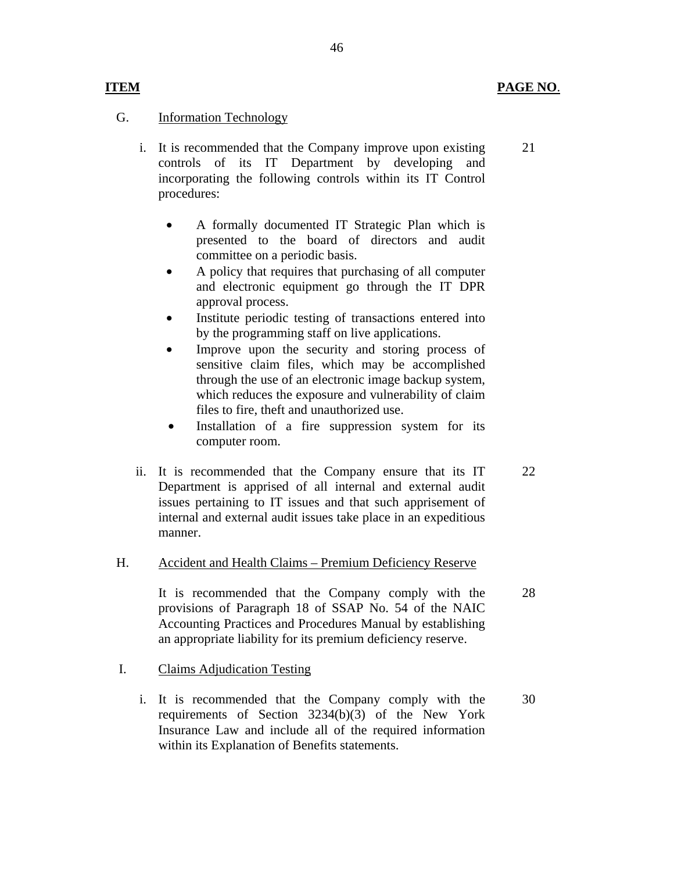21

22

28

# **Information Technology**

**ITEM** 

G. Information Technology<br>i. It is recommended that the Company improve upon existing controls of its IT Department by developing and incorporating the following controls within its IT Control procedures:

- A formally documented IT Strategic Plan which is presented to the board of directors and audit committee on a periodic basis.
- A policy that requires that purchasing of all computer and electronic equipment go through the IT DPR approval process.
- Institute periodic testing of transactions entered into by the programming staff on live applications.
- Improve upon the security and storing process of sensitive claim files, which may be accomplished through the use of an electronic image backup system, which reduces the exposure and vulnerability of claim files to fire, theft and unauthorized use.
- Installation of a fire suppression system for its computer room.
- ii. It is recommended that the Company ensure that its IT Department is apprised of all internal and external audit issues pertaining to IT issues and that such apprisement of internal and external audit issues take place in an expeditious manner.

# **Accident and Health Claims - Premium Deficiency Reserve** H. Accident and Health Claims – Premium Deficiency Reserve<br>It is recommended that the Company comply with the

provisions of Paragraph 18 of SSAP No. 54 of the NAIC Accounting Practices and Procedures Manual by establishing an appropriate liability for its premium deficiency reserve.

# **Claims Adjudication Testing**

I. Claims Adjudication Testing<br>i. It is recommended that the Company comply with the requirements of Section 3234(b)(3) of the New York Insurance Law and include all of the required information within its Explanation of Benefits statements. 30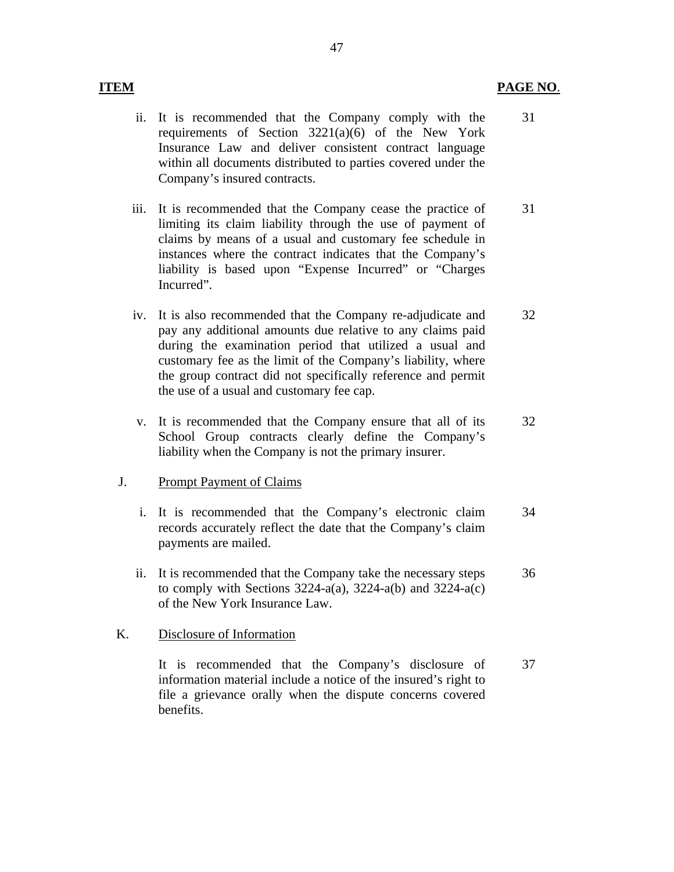## **ITEM PAGE NO**.

- ii. It is recommended that the Company comply with the requirements of Section 3221(a)(6) of the New York Insurance Law and deliver consistent contract language within all documents distributed to parties covered under the Company's insured contracts. 31
- iii. It is recommended that the Company cease the practice of limiting its claim liability through the use of payment of claims by means of a usual and customary fee schedule in instances where the contract indicates that the Company's liability is based upon "Expense Incurred" or "Charges Incurred". 31
- iv. It is also recommended that the Company re-adjudicate and pay any additional amounts due relative to any claims paid during the examination period that utilized a usual and customary fee as the limit of the Company's liability, where the group contract did not specifically reference and permit the use of a usual and customary fee cap. 32
- v. It is recommended that the Company ensure that all of its School Group contracts clearly define the Company's liability when the Company is not the primary insurer. 32

#### **Prompt Payment of Claims**

- J. Prompt Payment of Claims<br>i. It is recommended that the Company's electronic claim records accurately reflect the date that the Company's claim payments are mailed. 34
	- ii. It is recommended that the Company take the necessary steps to comply with Sections  $3224-a(a)$ ,  $3224-a(b)$  and  $3224-a(c)$ of the New York Insurance Law. 36

#### Disclosure of Information

K. Disclosure of Information<br>It is recommended that the Company's disclosure of information material include a notice of the insured's right to file a grievance orally when the dispute concerns covered benefits. 37

#### 47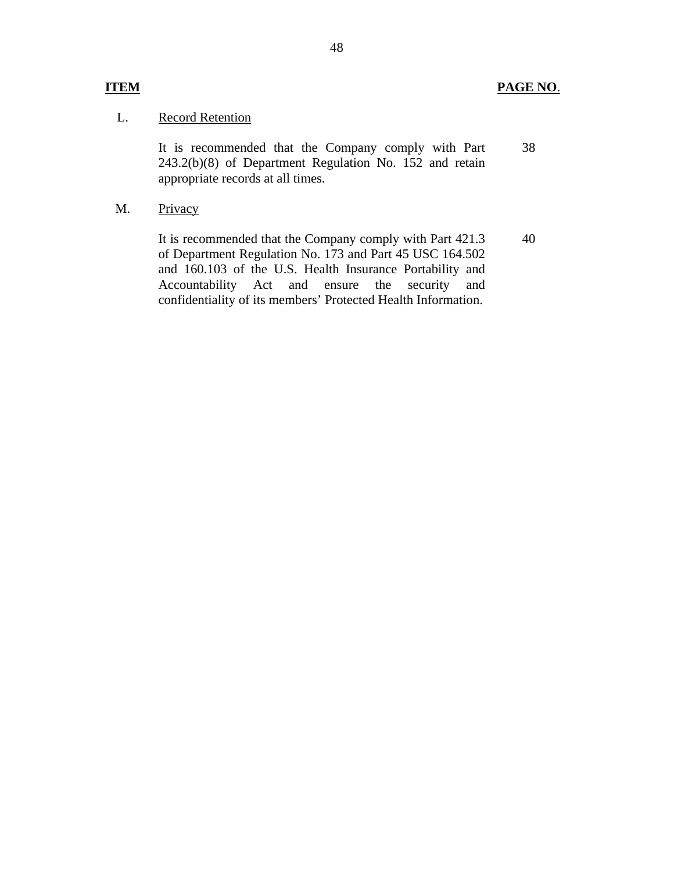# L. Record Retention

It is recommended that the Company comply with Part 243.2(b)(8) of Department Regulation No. 152 and retain appropriate records at all times. 38

Privacy M.

> It is recommended that the Company comply with Part 421.3 of Department Regulation No. 173 and Part 45 USC 164.502 and 160.103 of the U.S. Health Insurance Portability and Accountability Act and ensure the security and confidentiality of its members' Protected Health Information. 40